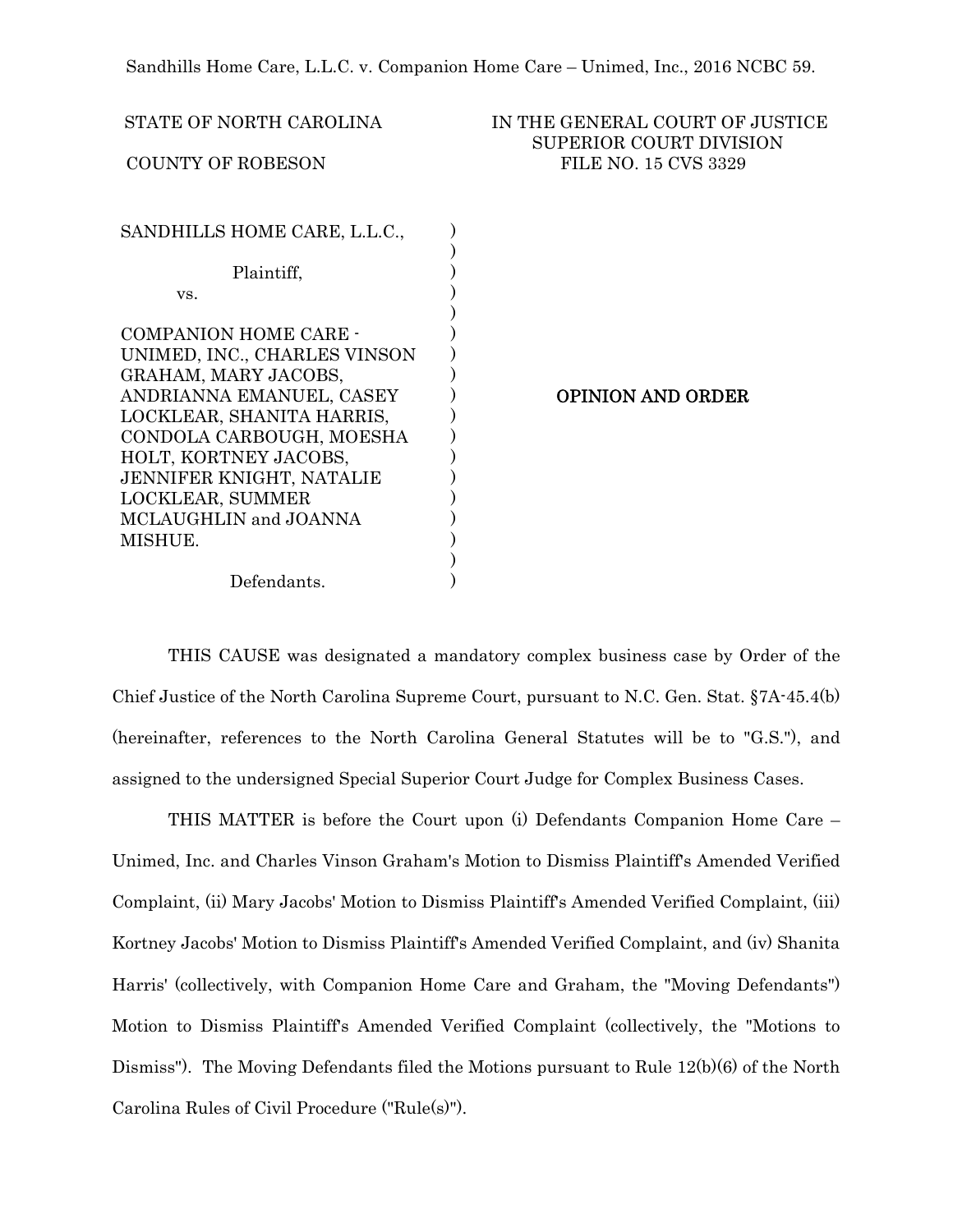STATE OF NORTH CAROLINA **IN THE GENERAL COURT OF JUSTICE** SUPERIOR COURT DIVISION COUNTY OF ROBESON FILE NO. 15 CVS 3329 SANDHILLS HOME CARE, L.L.C., Plaintiff, vs. COMPANION HOME CARE - UNIMED, INC., CHARLES VINSON GRAHAM, MARY JACOBS, ANDRIANNA EMANUEL, CASEY LOCKLEAR, SHANITA HARRIS, CONDOLA CARBOUGH, MOESHA HOLT, KORTNEY JACOBS, JENNIFER KNIGHT, NATALIE LOCKLEAR, SUMMER MCLAUGHLIN and JOANNA MISHUE. Defendants. ) ) ) ) ) ) ) ) ) ) ) ) ) )  $\sum$ ) )  $\lambda$ OPINION AND ORDER

 THIS CAUSE was designated a mandatory complex business case by Order of the Chief Justice of the North Carolina Supreme Court, pursuant to N.C. Gen. Stat. §7A-45.4(b) (hereinafter, references to the North Carolina General Statutes will be to "G.S."), and assigned to the undersigned Special Superior Court Judge for Complex Business Cases.

THIS MATTER is before the Court upon (i) Defendants Companion Home Care – Unimed, Inc. and Charles Vinson Graham's Motion to Dismiss Plaintiff's Amended Verified Complaint, (ii) Mary Jacobs' Motion to Dismiss Plaintiff's Amended Verified Complaint, (iii) Kortney Jacobs' Motion to Dismiss Plaintiff's Amended Verified Complaint, and (iv) Shanita Harris' (collectively, with Companion Home Care and Graham, the "Moving Defendants") Motion to Dismiss Plaintiff's Amended Verified Complaint (collectively, the "Motions to Dismiss"). The Moving Defendants filed the Motions pursuant to Rule 12(b)(6) of the North Carolina Rules of Civil Procedure ("Rule(s)").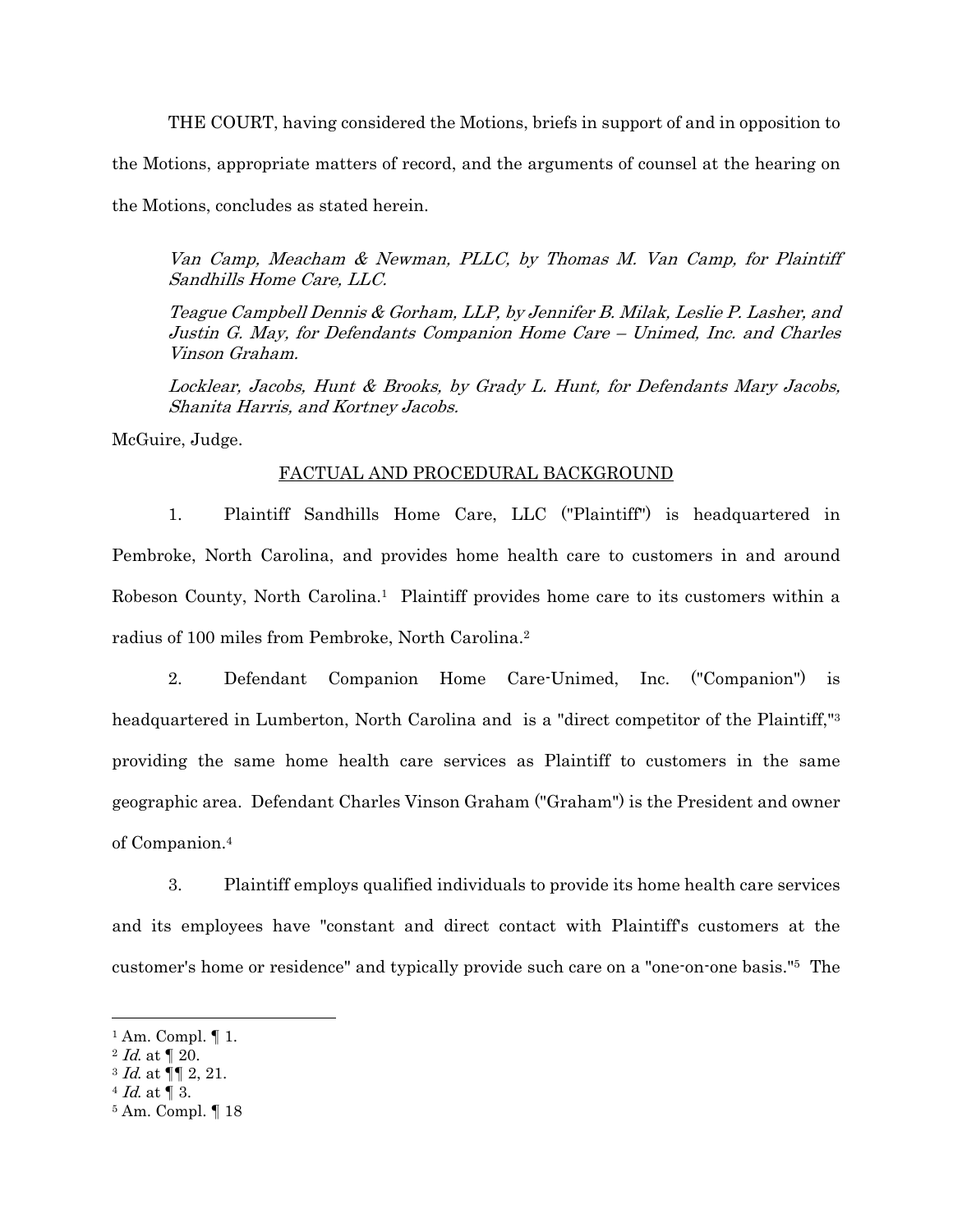THE COURT, having considered the Motions, briefs in support of and in opposition to the Motions, appropriate matters of record, and the arguments of counsel at the hearing on the Motions, concludes as stated herein.

Van Camp, Meacham & Newman, PLLC, by Thomas M. Van Camp, for Plaintiff Sandhills Home Care, LLC.

Teague Campbell Dennis & Gorham, LLP, by Jennifer B. Milak, Leslie P. Lasher, and Justin G. May, for Defendants Companion Home Care – Unimed, Inc. and Charles Vinson Graham.

Locklear, Jacobs, Hunt & Brooks, by Grady L. Hunt, for Defendants Mary Jacobs, Shanita Harris, and Kortney Jacobs.

McGuire, Judge.

### FACTUAL AND PROCEDURAL BACKGROUND

1. Plaintiff Sandhills Home Care, LLC ("Plaintiff") is headquartered in Pembroke, North Carolina, and provides home health care to customers in and around Robeson County, North Carolina.1 Plaintiff provides home care to its customers within a radius of 100 miles from Pembroke, North Carolina.2

2. Defendant Companion Home Care-Unimed, Inc. ("Companion") is headquartered in Lumberton, North Carolina and is a "direct competitor of the Plaintiff,"3 providing the same home health care services as Plaintiff to customers in the same geographic area. Defendant Charles Vinson Graham ("Graham") is the President and owner of Companion.4

3. Plaintiff employs qualified individuals to provide its home health care services and its employees have "constant and direct contact with Plaintiff's customers at the customer's home or residence" and typically provide such care on a "one-on-one basis."5 The

 $1$  Am. Compl.  $\P$  1.

 $2$  *Id.* at  $\llbracket 20$ .

 $3$  *Id.* at  $\P$  2, 21.<br> $4$  *Id.* at  $\P$  3.

<sup>5</sup> Am. Compl. ¶ 18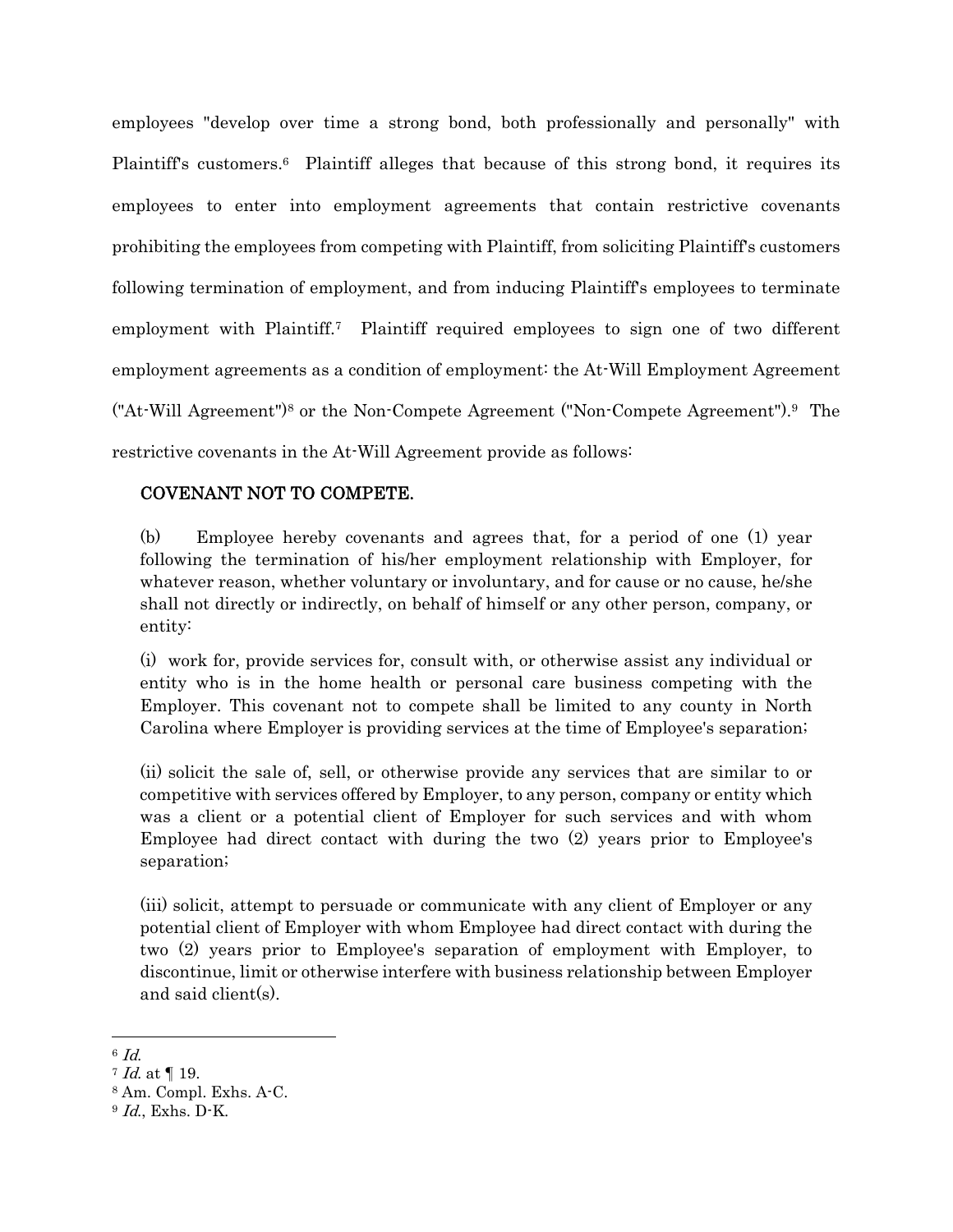employees "develop over time a strong bond, both professionally and personally" with Plaintiff's customers.<sup>6</sup> Plaintiff alleges that because of this strong bond, it requires its employees to enter into employment agreements that contain restrictive covenants prohibiting the employees from competing with Plaintiff, from soliciting Plaintiff's customers following termination of employment, and from inducing Plaintiff's employees to terminate employment with Plaintiff.7 Plaintiff required employees to sign one of two different employment agreements as a condition of employment: the At-Will Employment Agreement ("At-Will Agreement")8 or the Non-Compete Agreement ("Non-Compete Agreement").9 The restrictive covenants in the At-Will Agreement provide as follows:

# COVENANT NOT TO COMPETE.

(b) Employee hereby covenants and agrees that, for a period of one (1) year following the termination of his/her employment relationship with Employer, for whatever reason, whether voluntary or involuntary, and for cause or no cause, he/she shall not directly or indirectly, on behalf of himself or any other person, company, or entity:

(i) work for, provide services for, consult with, or otherwise assist any individual or entity who is in the home health or personal care business competing with the Employer. This covenant not to compete shall be limited to any county in North Carolina where Employer is providing services at the time of Employee's separation;

(ii) solicit the sale of, sell, or otherwise provide any services that are similar to or competitive with services offered by Employer, to any person, company or entity which was a client or a potential client of Employer for such services and with whom Employee had direct contact with during the two (2) years prior to Employee's separation;

(iii) solicit, attempt to persuade or communicate with any client of Employer or any potential client of Employer with whom Employee had direct contact with during the two (2) years prior to Employee's separation of employment with Employer, to discontinue, limit or otherwise interfere with business relationship between Employer and said client(s).

 $^{6}$  *Id.*<br> $^{7}$  *Id.* at ¶ 19.

<sup>8</sup> Am. Compl. Exhs. A-C.

<sup>9</sup> Id., Exhs. D-K.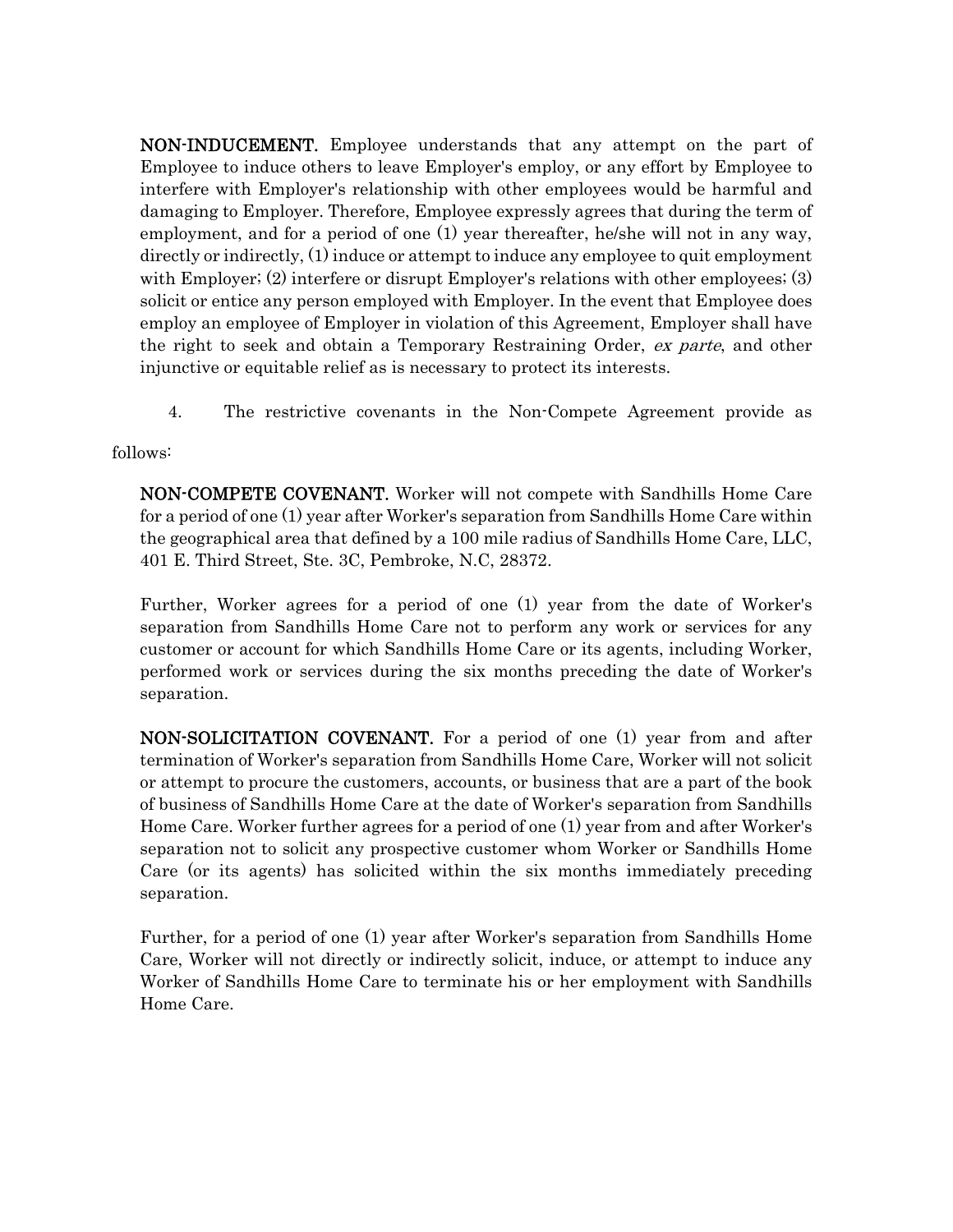NON-INDUCEMENT. Employee understands that any attempt on the part of Employee to induce others to leave Employer's employ, or any effort by Employee to interfere with Employer's relationship with other employees would be harmful and damaging to Employer. Therefore, Employee expressly agrees that during the term of employment, and for a period of one (1) year thereafter, he/she will not in any way, directly or indirectly, (1) induce or attempt to induce any employee to quit employment with Employer; (2) interfere or disrupt Employer's relations with other employees; (3) solicit or entice any person employed with Employer. In the event that Employee does employ an employee of Employer in violation of this Agreement, Employer shall have the right to seek and obtain a Temporary Restraining Order, ex parte, and other injunctive or equitable relief as is necessary to protect its interests.

4. The restrictive covenants in the Non-Compete Agreement provide as

follows:

NON-COMPETE COVENANT. Worker will not compete with Sandhills Home Care for a period of one (1) year after Worker's separation from Sandhills Home Care within the geographical area that defined by a 100 mile radius of Sandhills Home Care, LLC, 401 E. Third Street, Ste. 3C, Pembroke, N.C, 28372.

Further, Worker agrees for a period of one (1) year from the date of Worker's separation from Sandhills Home Care not to perform any work or services for any customer or account for which Sandhills Home Care or its agents, including Worker, performed work or services during the six months preceding the date of Worker's separation.

NON-SOLICITATION COVENANT. For a period of one (1) year from and after termination of Worker's separation from Sandhills Home Care, Worker will not solicit or attempt to procure the customers, accounts, or business that are a part of the book of business of Sandhills Home Care at the date of Worker's separation from Sandhills Home Care. Worker further agrees for a period of one (1) year from and after Worker's separation not to solicit any prospective customer whom Worker or Sandhills Home Care (or its agents) has solicited within the six months immediately preceding separation.

Further, for a period of one (1) year after Worker's separation from Sandhills Home Care, Worker will not directly or indirectly solicit, induce, or attempt to induce any Worker of Sandhills Home Care to terminate his or her employment with Sandhills Home Care.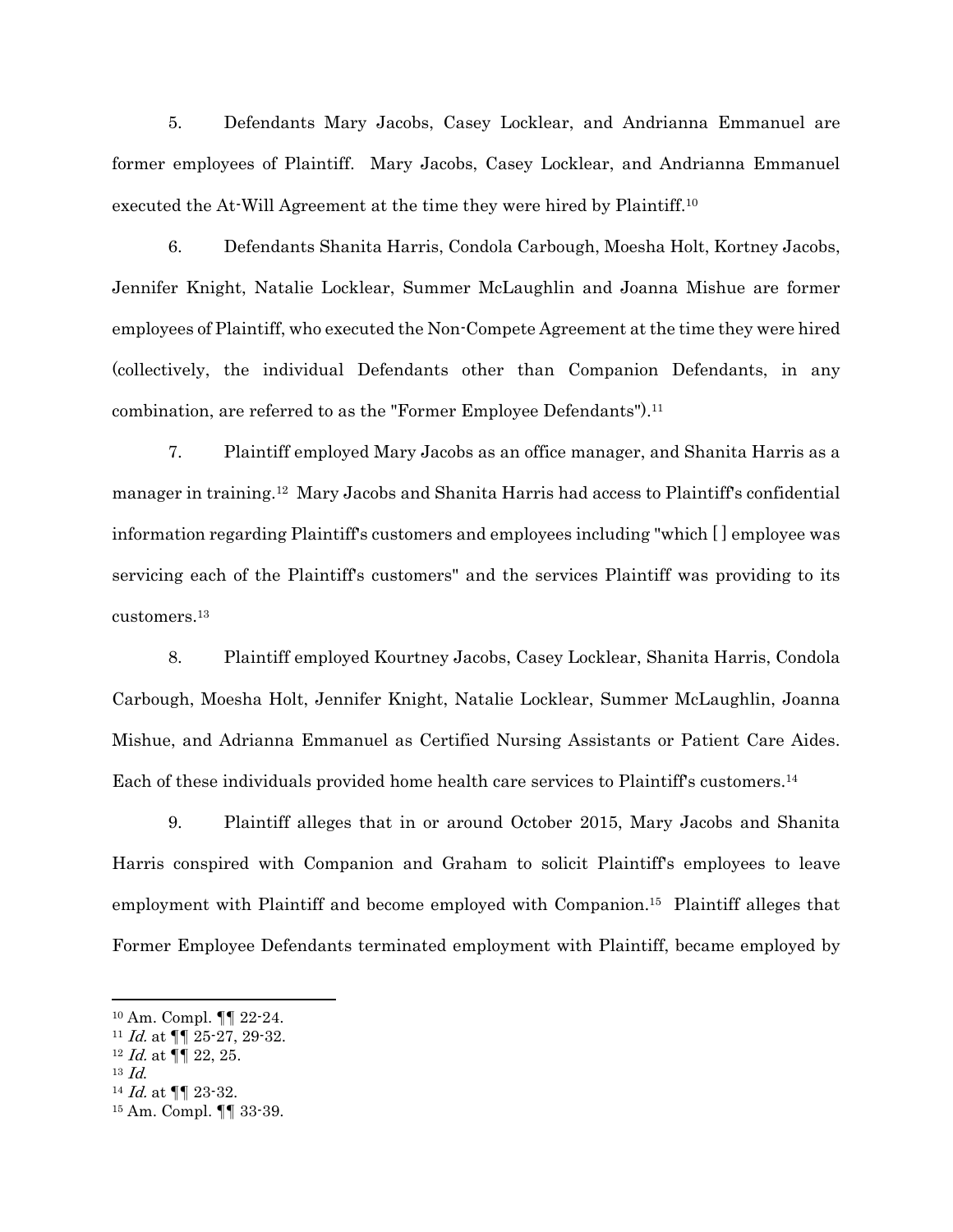5. Defendants Mary Jacobs, Casey Locklear, and Andrianna Emmanuel are former employees of Plaintiff. Mary Jacobs, Casey Locklear, and Andrianna Emmanuel executed the At-Will Agreement at the time they were hired by Plaintiff.10

6. Defendants Shanita Harris, Condola Carbough, Moesha Holt, Kortney Jacobs, Jennifer Knight, Natalie Locklear, Summer McLaughlin and Joanna Mishue are former employees of Plaintiff, who executed the Non-Compete Agreement at the time they were hired (collectively, the individual Defendants other than Companion Defendants, in any combination, are referred to as the "Former Employee Defendants").<sup>11</sup>

7. Plaintiff employed Mary Jacobs as an office manager, and Shanita Harris as a manager in training.12 Mary Jacobs and Shanita Harris had access to Plaintiff's confidential information regarding Plaintiff's customers and employees including "which [ ] employee was servicing each of the Plaintiff's customers" and the services Plaintiff was providing to its customers.13

8. Plaintiff employed Kourtney Jacobs, Casey Locklear, Shanita Harris, Condola Carbough, Moesha Holt, Jennifer Knight, Natalie Locklear, Summer McLaughlin, Joanna Mishue, and Adrianna Emmanuel as Certified Nursing Assistants or Patient Care Aides. Each of these individuals provided home health care services to Plaintiff's customers.<sup>14</sup>

9. Plaintiff alleges that in or around October 2015, Mary Jacobs and Shanita Harris conspired with Companion and Graham to solicit Plaintiff's employees to leave employment with Plaintiff and become employed with Companion.15 Plaintiff alleges that Former Employee Defendants terminated employment with Plaintiff, became employed by

<sup>10</sup> Am. Compl. ¶¶ 22-24.

<sup>&</sup>lt;sup>11</sup> *Id.* at  $\P\P$  25-27, 29-32.<br><sup>12</sup> *Id.* at  $\P$   $\mathbb{I}$  22, 25.

 $^{13}$  *Id.* <br> $^{14}$  *Id.* at ¶¶ 23-32.

<sup>15</sup> Am. Compl. ¶¶ 33-39.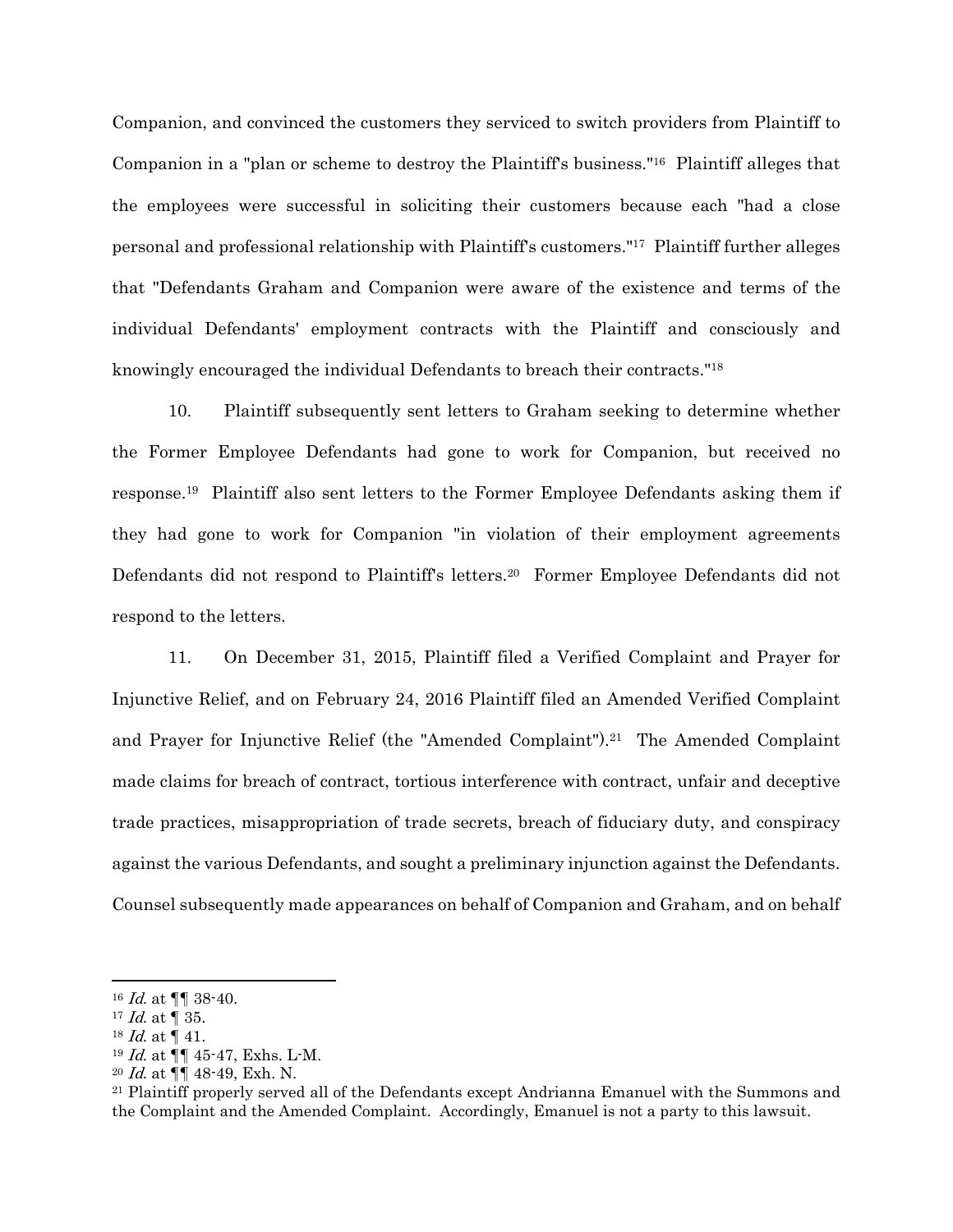Companion, and convinced the customers they serviced to switch providers from Plaintiff to Companion in a "plan or scheme to destroy the Plaintiff's business."16 Plaintiff alleges that the employees were successful in soliciting their customers because each "had a close personal and professional relationship with Plaintiff's customers."17 Plaintiff further alleges that "Defendants Graham and Companion were aware of the existence and terms of the individual Defendants' employment contracts with the Plaintiff and consciously and knowingly encouraged the individual Defendants to breach their contracts."18

10. Plaintiff subsequently sent letters to Graham seeking to determine whether the Former Employee Defendants had gone to work for Companion, but received no response.19 Plaintiff also sent letters to the Former Employee Defendants asking them if they had gone to work for Companion "in violation of their employment agreements Defendants did not respond to Plaintiff's letters.20 Former Employee Defendants did not respond to the letters.

11. On December 31, 2015, Plaintiff filed a Verified Complaint and Prayer for Injunctive Relief, and on February 24, 2016 Plaintiff filed an Amended Verified Complaint and Prayer for Injunctive Relief (the "Amended Complaint").21 The Amended Complaint made claims for breach of contract, tortious interference with contract, unfair and deceptive trade practices, misappropriation of trade secrets, breach of fiduciary duty, and conspiracy against the various Defendants, and sought a preliminary injunction against the Defendants. Counsel subsequently made appearances on behalf of Companion and Graham, and on behalf

 $16$  *Id.* at  $\P\P$  38-40.

 $17$  *Id.* at  $\sqrt{ }$  35.

 $18$  *Id.* at  $\P$  41.

<sup>19</sup> Id. at ¶¶ 45-47, Exhs. L-M.

<sup>&</sup>lt;sup>20</sup> Id. at  $\P\P$  48-49, Exh. N.<br><sup>21</sup> Plaintiff properly served all of the Defendants except Andrianna Emanuel with the Summons and the Complaint and the Amended Complaint. Accordingly, Emanuel is not a party to this lawsuit.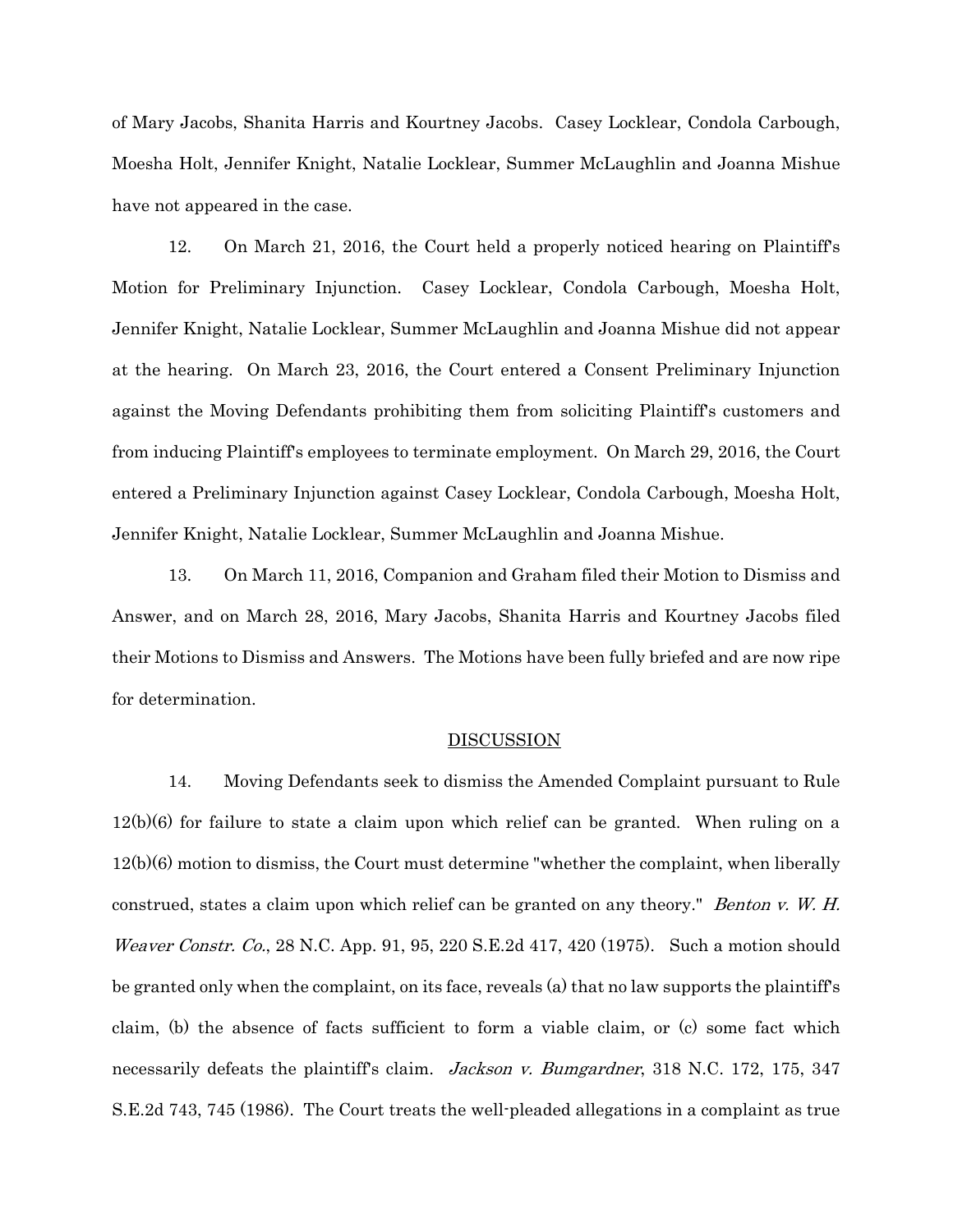of Mary Jacobs, Shanita Harris and Kourtney Jacobs. Casey Locklear, Condola Carbough, Moesha Holt, Jennifer Knight, Natalie Locklear, Summer McLaughlin and Joanna Mishue have not appeared in the case.

12. On March 21, 2016, the Court held a properly noticed hearing on Plaintiff's Motion for Preliminary Injunction. Casey Locklear, Condola Carbough, Moesha Holt, Jennifer Knight, Natalie Locklear, Summer McLaughlin and Joanna Mishue did not appear at the hearing. On March 23, 2016, the Court entered a Consent Preliminary Injunction against the Moving Defendants prohibiting them from soliciting Plaintiff's customers and from inducing Plaintiff's employees to terminate employment. On March 29, 2016, the Court entered a Preliminary Injunction against Casey Locklear, Condola Carbough, Moesha Holt, Jennifer Knight, Natalie Locklear, Summer McLaughlin and Joanna Mishue.

13. On March 11, 2016, Companion and Graham filed their Motion to Dismiss and Answer, and on March 28, 2016, Mary Jacobs, Shanita Harris and Kourtney Jacobs filed their Motions to Dismiss and Answers. The Motions have been fully briefed and are now ripe for determination.

#### **DISCUSSION**

14. Moving Defendants seek to dismiss the Amended Complaint pursuant to Rule 12(b)(6) for failure to state a claim upon which relief can be granted. When ruling on a 12(b)(6) motion to dismiss, the Court must determine "whether the complaint, when liberally construed, states a claim upon which relief can be granted on any theory." *Benton v. W. H. Weaver Constr. Co.*, 28 N.C. App. 91, 95, 220 S.E. 2d 417, 420 (1975). Such a motion should be granted only when the complaint, on its face, reveals (a) that no law supports the plaintiff's claim, (b) the absence of facts sufficient to form a viable claim, or (c) some fact which necessarily defeats the plaintiff's claim. Jackson v. Bumgardner, 318 N.C. 172, 175, 347 S.E.2d 743, 745 (1986). The Court treats the well-pleaded allegations in a complaint as true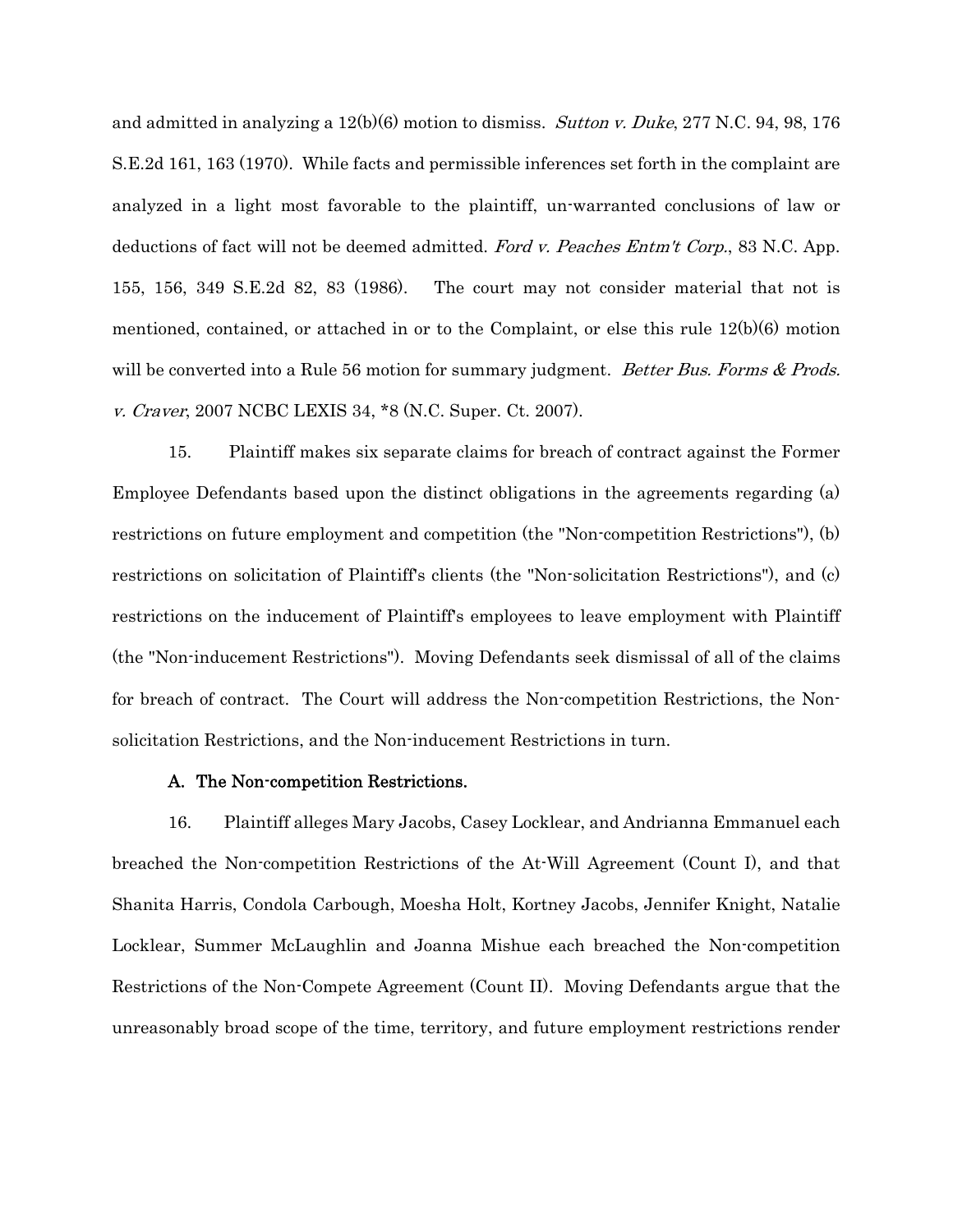and admitted in analyzing a  $12(b)(6)$  motion to dismiss. *Sutton v. Duke*, 277 N.C. 94, 98, 176 S.E.2d 161, 163 (1970). While facts and permissible inferences set forth in the complaint are analyzed in a light most favorable to the plaintiff, un-warranted conclusions of law or deductions of fact will not be deemed admitted. Ford v. Peaches Entm't Corp., 83 N.C. App. 155, 156, 349 S.E.2d 82, 83 (1986). The court may not consider material that not is mentioned, contained, or attached in or to the Complaint, or else this rule 12(b)(6) motion will be converted into a Rule 56 motion for summary judgment. Better Bus. Forms & Prods. v. Craver, 2007 NCBC LEXIS 34, \*8 (N.C. Super. Ct. 2007).

15. Plaintiff makes six separate claims for breach of contract against the Former Employee Defendants based upon the distinct obligations in the agreements regarding (a) restrictions on future employment and competition (the "Non-competition Restrictions"), (b) restrictions on solicitation of Plaintiff's clients (the "Non-solicitation Restrictions"), and (c) restrictions on the inducement of Plaintiff's employees to leave employment with Plaintiff (the "Non-inducement Restrictions"). Moving Defendants seek dismissal of all of the claims for breach of contract. The Court will address the Non-competition Restrictions, the Nonsolicitation Restrictions, and the Non-inducement Restrictions in turn.

### A. The Non-competition Restrictions.

16. Plaintiff alleges Mary Jacobs, Casey Locklear, and Andrianna Emmanuel each breached the Non-competition Restrictions of the At-Will Agreement (Count I), and that Shanita Harris, Condola Carbough, Moesha Holt, Kortney Jacobs, Jennifer Knight, Natalie Locklear, Summer McLaughlin and Joanna Mishue each breached the Non-competition Restrictions of the Non-Compete Agreement (Count II). Moving Defendants argue that the unreasonably broad scope of the time, territory, and future employment restrictions render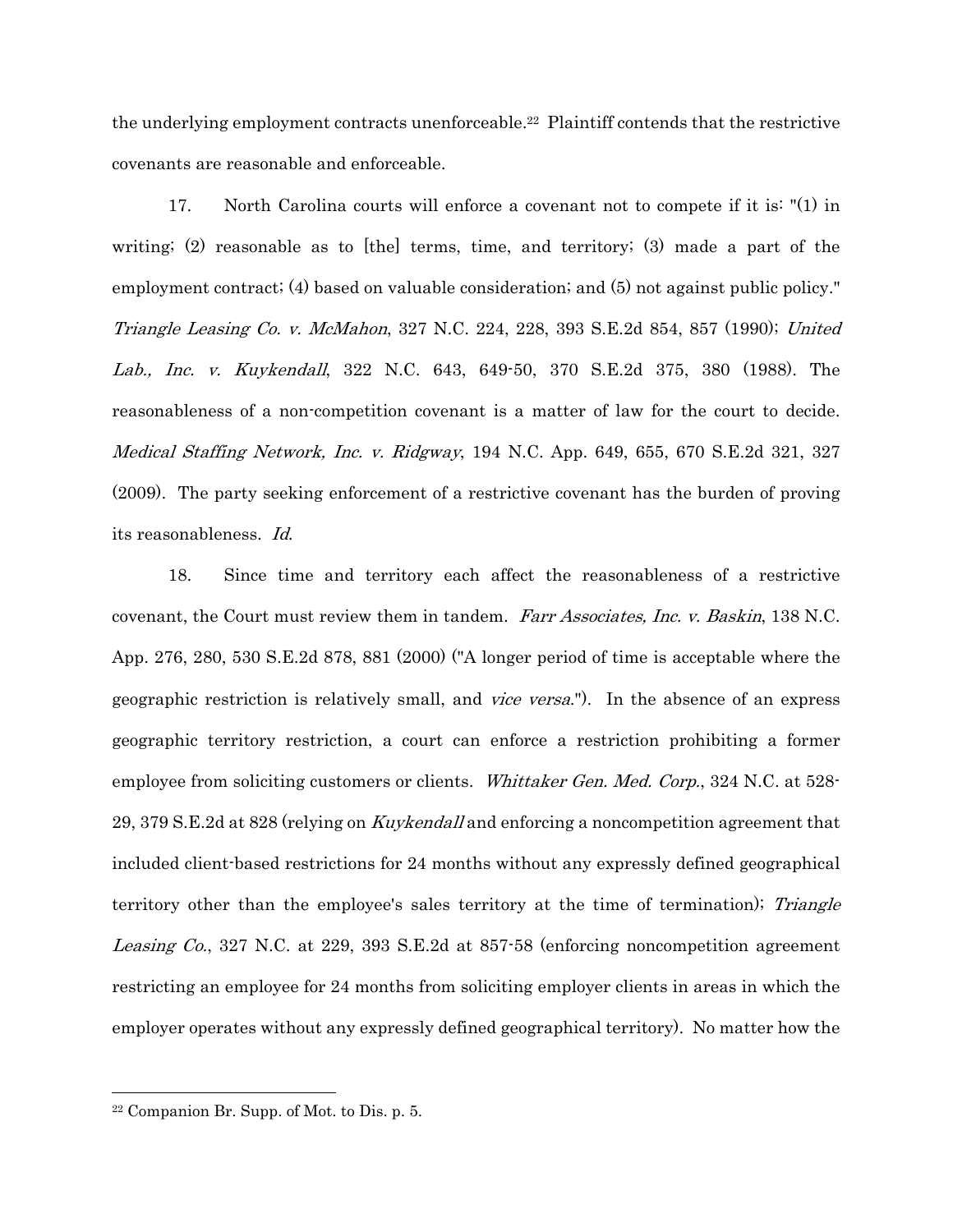the underlying employment contracts unenforceable.22 Plaintiff contends that the restrictive covenants are reasonable and enforceable.

17. North Carolina courts will enforce a covenant not to compete if it is: "(1) in writing;  $(2)$  reasonable as to [the] terms, time, and territory;  $(3)$  made a part of the employment contract; (4) based on valuable consideration; and (5) not against public policy." Triangle Leasing Co. v. McMahon, 327 N.C. 224, 228, 393 S.E.2d 854, 857 (1990); United Lab., Inc. v. Kuykendall, 322 N.C. 643, 649-50, 370 S.E.2d 375, 380 (1988). The reasonableness of a non-competition covenant is a matter of law for the court to decide. Medical Staffing Network, Inc. v. Ridgway, 194 N.C. App. 649, 655, 670 S.E.2d 321, 327 (2009). The party seeking enforcement of a restrictive covenant has the burden of proving its reasonableness. Id.

18. Since time and territory each affect the reasonableness of a restrictive covenant, the Court must review them in tandem. Farr Associates, Inc. v. Baskin, 138 N.C. App. 276, 280, 530 S.E.2d 878, 881 (2000) ("A longer period of time is acceptable where the geographic restriction is relatively small, and vice versa."). In the absence of an express geographic territory restriction, a court can enforce a restriction prohibiting a former employee from soliciting customers or clients. Whittaker Gen. Med. Corp., 324 N.C. at 528-29, 379 S.E.2d at 828 (relying on Kuykendall and enforcing a noncompetition agreement that included client-based restrictions for 24 months without any expressly defined geographical territory other than the employee's sales territory at the time of termination); Triangle Leasing Co., 327 N.C. at 229, 393 S.E.2d at 857-58 (enforcing noncompetition agreement restricting an employee for 24 months from soliciting employer clients in areas in which the employer operates without any expressly defined geographical territory). No matter how the

<sup>22</sup> Companion Br. Supp. of Mot. to Dis. p. 5.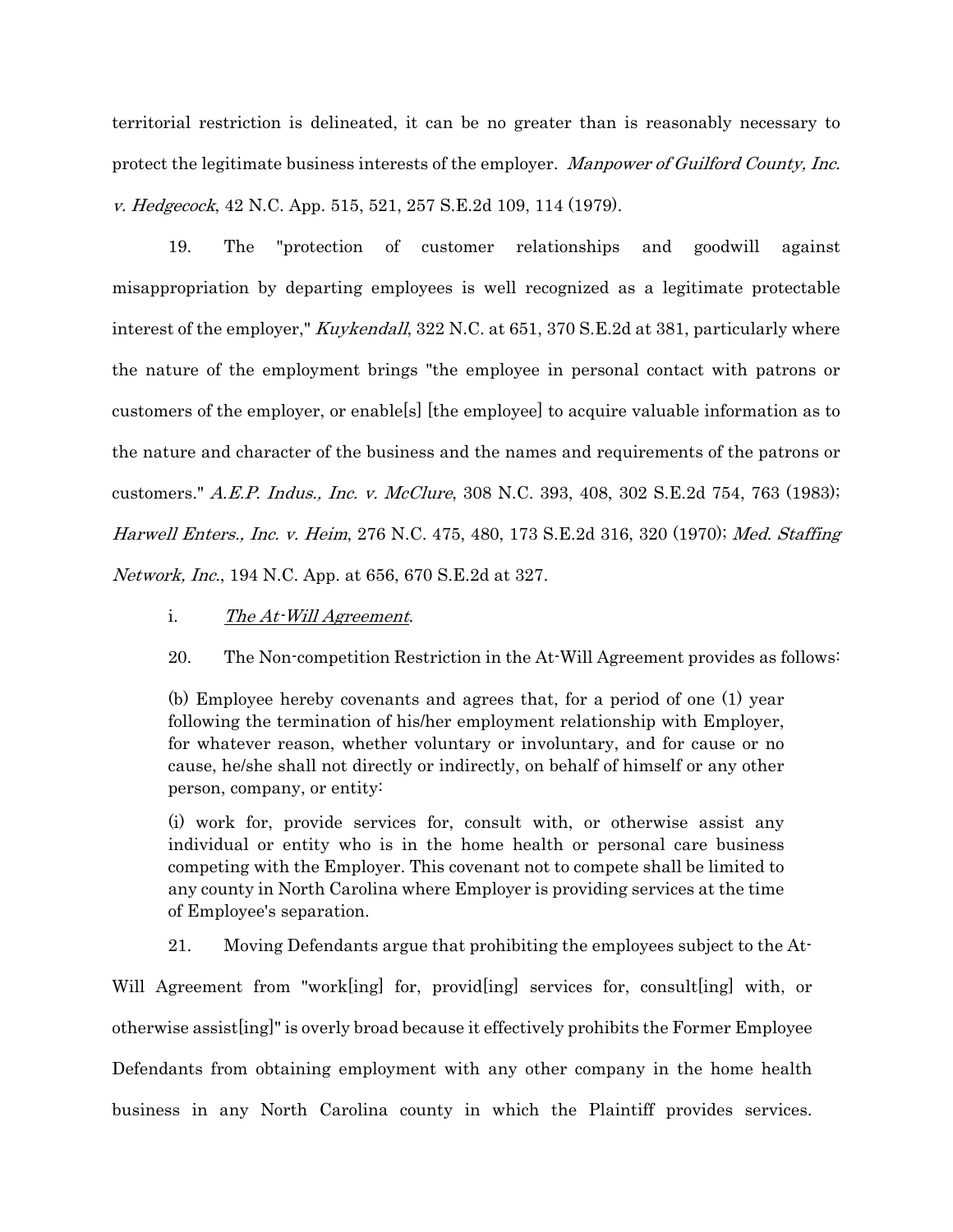territorial restriction is delineated, it can be no greater than is reasonably necessary to protect the legitimate business interests of the employer. Manpower of Guilford County, Inc. v. Hedgecock, 42 N.C. App. 515, 521, 257 S.E.2d 109, 114 (1979).

19. The "protection of customer relationships and goodwill against misappropriation by departing employees is well recognized as a legitimate protectable interest of the employer," *Kuykendall*, 322 N.C. at 651, 370 S.E.2d at 381, particularly where the nature of the employment brings "the employee in personal contact with patrons or customers of the employer, or enable[s] [the employee] to acquire valuable information as to the nature and character of the business and the names and requirements of the patrons or customers." A.E.P. Indus., Inc. v. McClure, 308 N.C. 393, 408, 302 S.E.2d 754, 763 (1983); Harwell Enters., Inc. v. Heim, 276 N.C. 475, 480, 173 S.E.2d 316, 320 (1970); Med. Staffing Network, Inc., 194 N.C. App. at 656, 670 S.E.2d at 327.

- i. The At-Will Agreement.
- 20. The Non-competition Restriction in the At-Will Agreement provides as follows:

(b) Employee hereby covenants and agrees that, for a period of one (1) year following the termination of his/her employment relationship with Employer, for whatever reason, whether voluntary or involuntary, and for cause or no cause, he/she shall not directly or indirectly, on behalf of himself or any other person, company, or entity:

(i) work for, provide services for, consult with, or otherwise assist any individual or entity who is in the home health or personal care business competing with the Employer. This covenant not to compete shall be limited to any county in North Carolina where Employer is providing services at the time of Employee's separation.

21. Moving Defendants argue that prohibiting the employees subject to the At-

Will Agreement from "work[ing] for, provid[ing] services for, consult[ing] with, or otherwise assist[ing]" is overly broad because it effectively prohibits the Former Employee Defendants from obtaining employment with any other company in the home health business in any North Carolina county in which the Plaintiff provides services.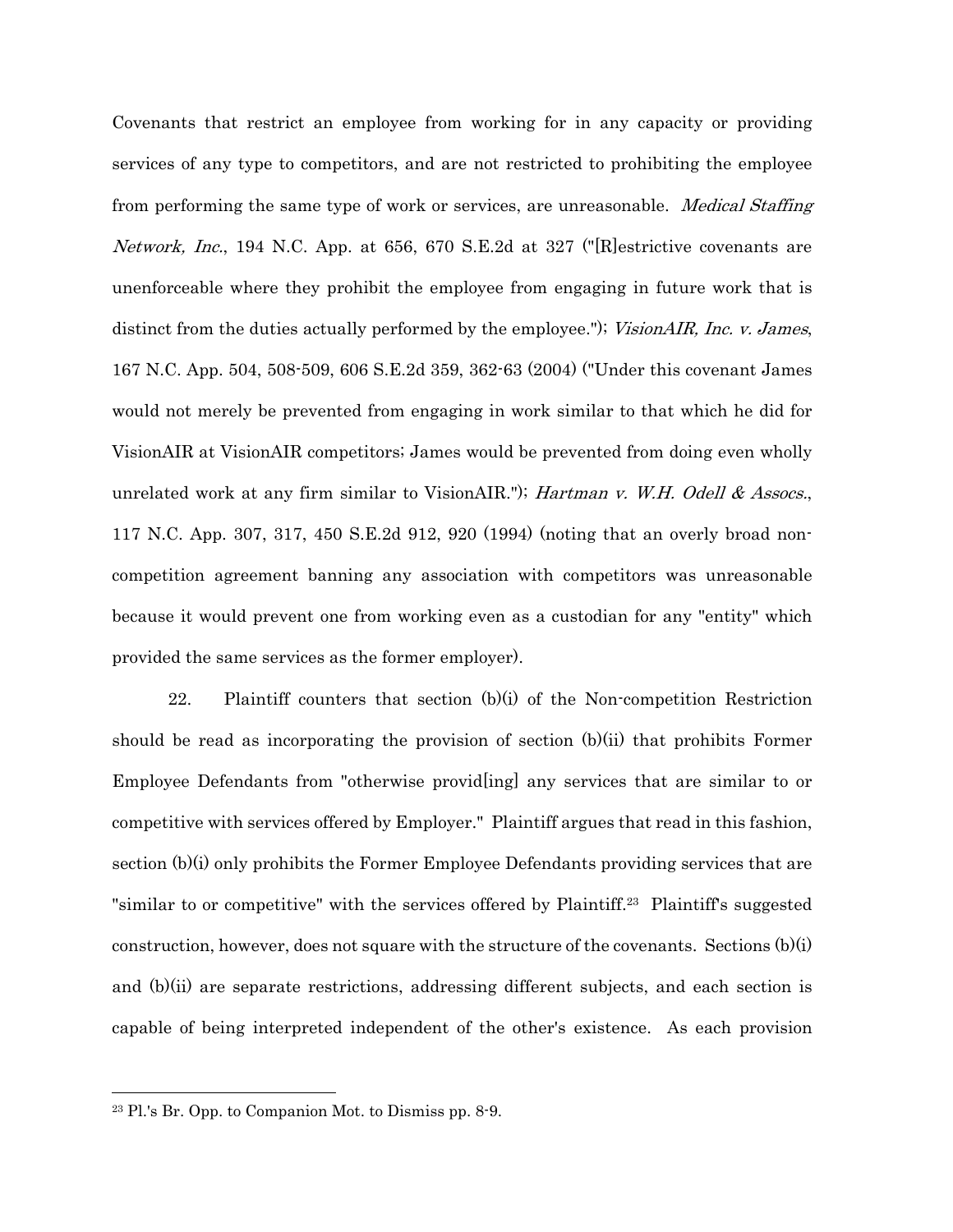Covenants that restrict an employee from working for in any capacity or providing services of any type to competitors, and are not restricted to prohibiting the employee from performing the same type of work or services, are unreasonable. *Medical Staffing* Network, Inc., 194 N.C. App. at 656, 670 S.E.2d at 327 ("[R]estrictive covenants are unenforceable where they prohibit the employee from engaging in future work that is distinct from the duties actually performed by the employee."); VisionAIR, Inc. v. James, 167 N.C. App. 504, 508-509, 606 S.E.2d 359, 362-63 (2004) ("Under this covenant James would not merely be prevented from engaging in work similar to that which he did for VisionAIR at VisionAIR competitors; James would be prevented from doing even wholly unrelated work at any firm similar to VisionAIR."); Hartman v. W.H. Odell & Assocs., 117 N.C. App. 307, 317, 450 S.E.2d 912, 920 (1994) (noting that an overly broad noncompetition agreement banning any association with competitors was unreasonable because it would prevent one from working even as a custodian for any "entity" which provided the same services as the former employer).

22. Plaintiff counters that section  $(b)(i)$  of the Non-competition Restriction should be read as incorporating the provision of section (b)(ii) that prohibits Former Employee Defendants from "otherwise provid[ing] any services that are similar to or competitive with services offered by Employer." Plaintiff argues that read in this fashion, section (b)(i) only prohibits the Former Employee Defendants providing services that are "similar to or competitive" with the services offered by Plaintiff.<sup>23</sup> Plaintiff's suggested construction, however, does not square with the structure of the covenants. Sections  $(b)(i)$ and (b)(ii) are separate restrictions, addressing different subjects, and each section is capable of being interpreted independent of the other's existence. As each provision

<sup>23</sup> Pl.'s Br. Opp. to Companion Mot. to Dismiss pp. 8-9.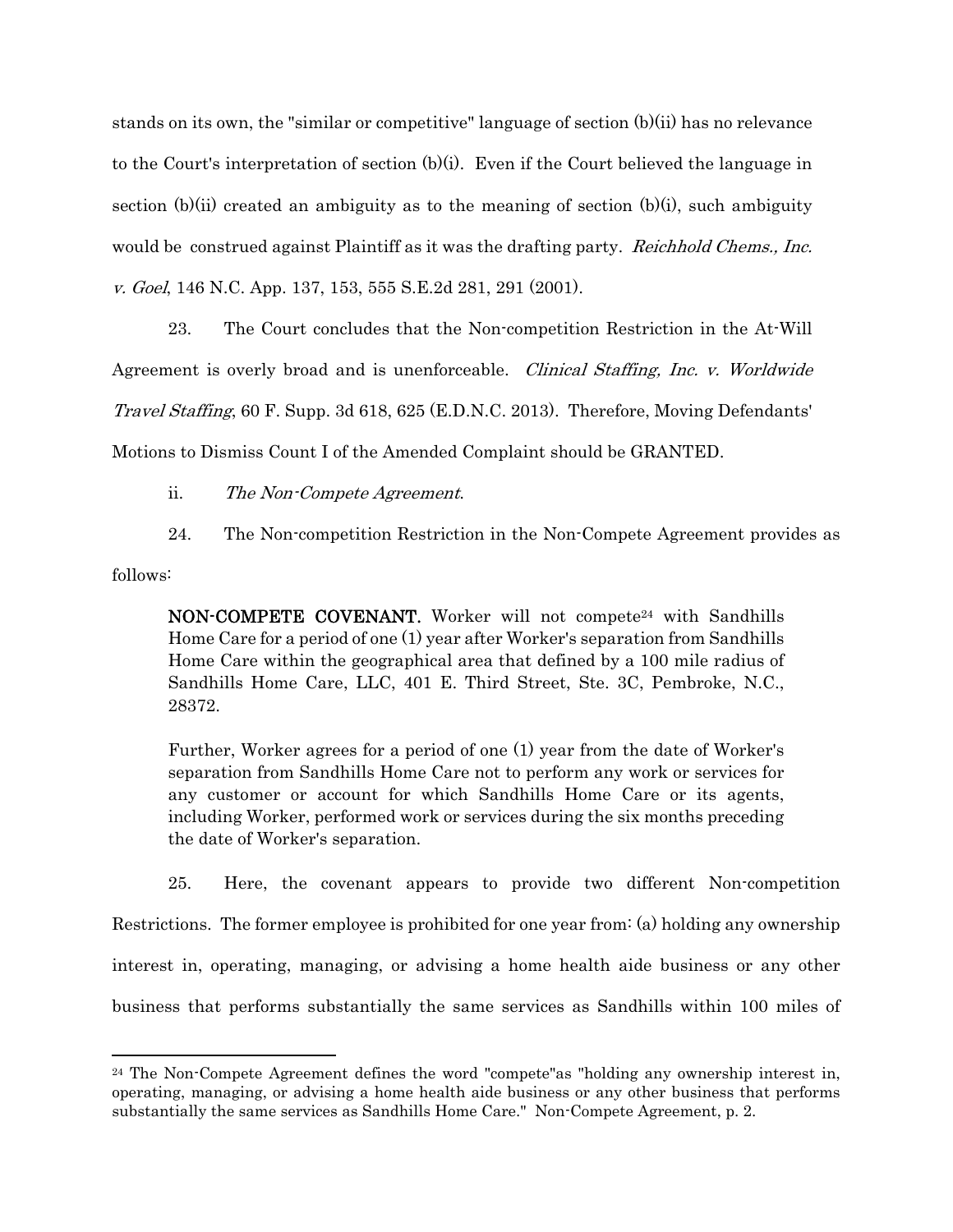stands on its own, the "similar or competitive" language of section (b)(ii) has no relevance to the Court's interpretation of section (b)(i). Even if the Court believed the language in section  $(b)(ii)$  created an ambiguity as to the meaning of section  $(b)(i)$ , such ambiguity would be construed against Plaintiff as it was the drafting party. *Reichhold Chems., Inc.* v. Goel, 146 N.C. App. 137, 153, 555 S.E.2d 281, 291 (2001).

23. The Court concludes that the Non-competition Restriction in the At-Will Agreement is overly broad and is unenforceable. *Clinical Staffing, Inc. v. Worldwide* Travel Staffing, 60 F. Supp. 3d 618, 625 (E.D.N.C. 2013). Therefore, Moving Defendants' Motions to Dismiss Count I of the Amended Complaint should be GRANTED.

ii. The Non-Compete Agreement.

24. The Non-competition Restriction in the Non-Compete Agreement provides as

follows:

**NON-COMPETE COVENANT.** Worker will not compete<sup>24</sup> with Sandhills Home Care for a period of one (1) year after Worker's separation from Sandhills Home Care within the geographical area that defined by a 100 mile radius of Sandhills Home Care, LLC, 401 E. Third Street, Ste. 3C, Pembroke, N.C., 28372.

Further, Worker agrees for a period of one (1) year from the date of Worker's separation from Sandhills Home Care not to perform any work or services for any customer or account for which Sandhills Home Care or its agents, including Worker, performed work or services during the six months preceding the date of Worker's separation.

25. Here, the covenant appears to provide two different Non-competition Restrictions. The former employee is prohibited for one year from: (a) holding any ownership interest in, operating, managing, or advising a home health aide business or any other business that performs substantially the same services as Sandhills within 100 miles of

 $24$  The Non-Compete Agreement defines the word "compete"as "holding any ownership interest in, operating, managing, or advising a home health aide business or any other business that performs substantially the same services as Sandhills Home Care." Non-Compete Agreement, p. 2.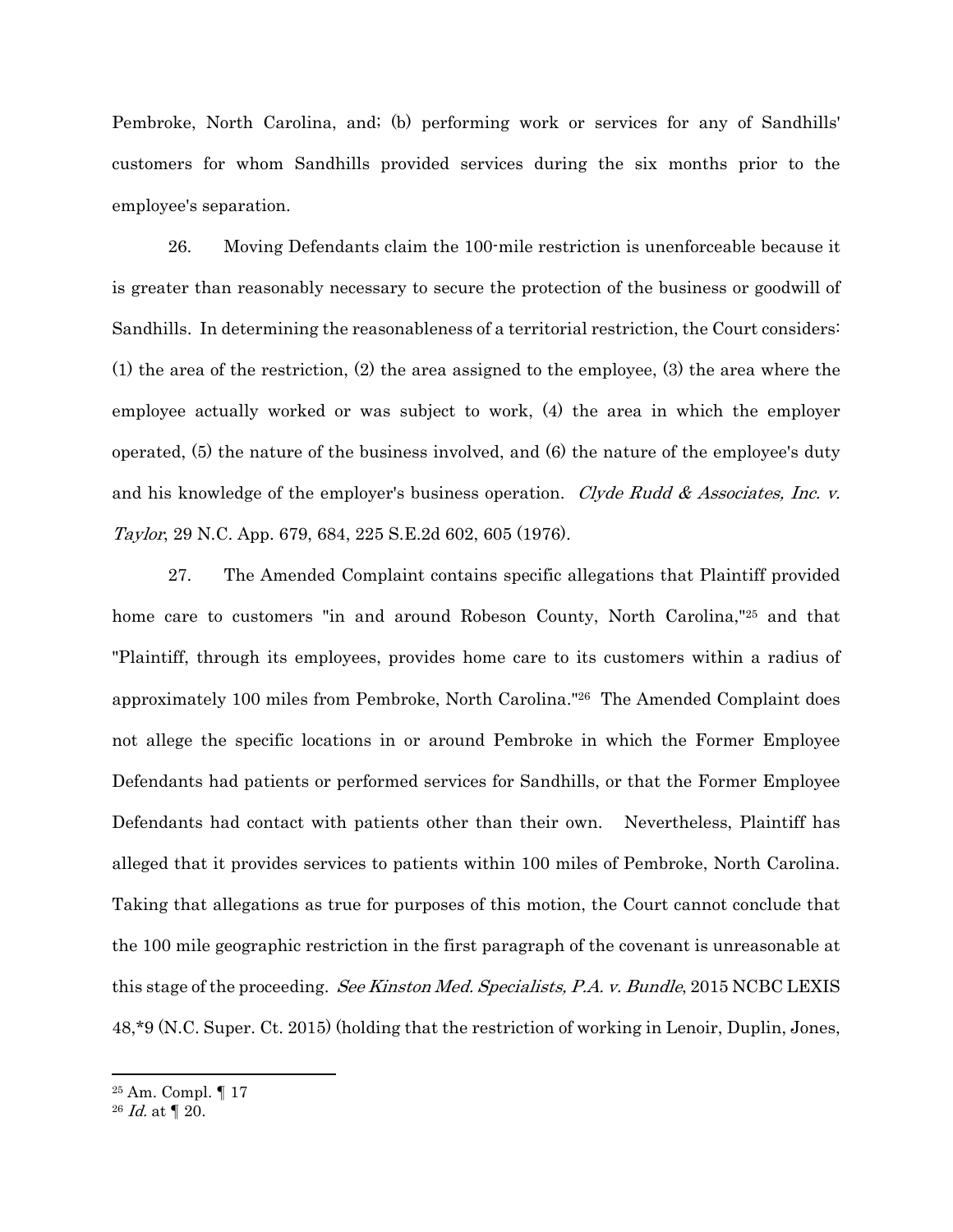Pembroke, North Carolina, and; (b) performing work or services for any of Sandhills' customers for whom Sandhills provided services during the six months prior to the employee's separation.

26. Moving Defendants claim the 100-mile restriction is unenforceable because it is greater than reasonably necessary to secure the protection of the business or goodwill of Sandhills. In determining the reasonableness of a territorial restriction, the Court considers: (1) the area of the restriction, (2) the area assigned to the employee, (3) the area where the employee actually worked or was subject to work, (4) the area in which the employer operated, (5) the nature of the business involved, and (6) the nature of the employee's duty and his knowledge of the employer's business operation. Clyde Rudd & Associates, Inc. v. Taylor, 29 N.C. App. 679, 684, 225 S.E.2d 602, 605 (1976).

27. The Amended Complaint contains specific allegations that Plaintiff provided home care to customers "in and around Robeson County, North Carolina,"<sup>25</sup> and that "Plaintiff, through its employees, provides home care to its customers within a radius of approximately 100 miles from Pembroke, North Carolina."26 The Amended Complaint does not allege the specific locations in or around Pembroke in which the Former Employee Defendants had patients or performed services for Sandhills, or that the Former Employee Defendants had contact with patients other than their own. Nevertheless, Plaintiff has alleged that it provides services to patients within 100 miles of Pembroke, North Carolina. Taking that allegations as true for purposes of this motion, the Court cannot conclude that the 100 mile geographic restriction in the first paragraph of the covenant is unreasonable at this stage of the proceeding. See Kinston Med. Specialists, P.A. v. Bundle, 2015 NCBC LEXIS 48,\*9 (N.C. Super. Ct. 2015) (holding that the restriction of working in Lenoir, Duplin, Jones,

<sup>25</sup> Am. Compl. ¶ 17

 $26$  *Id.* at  $\P$  20.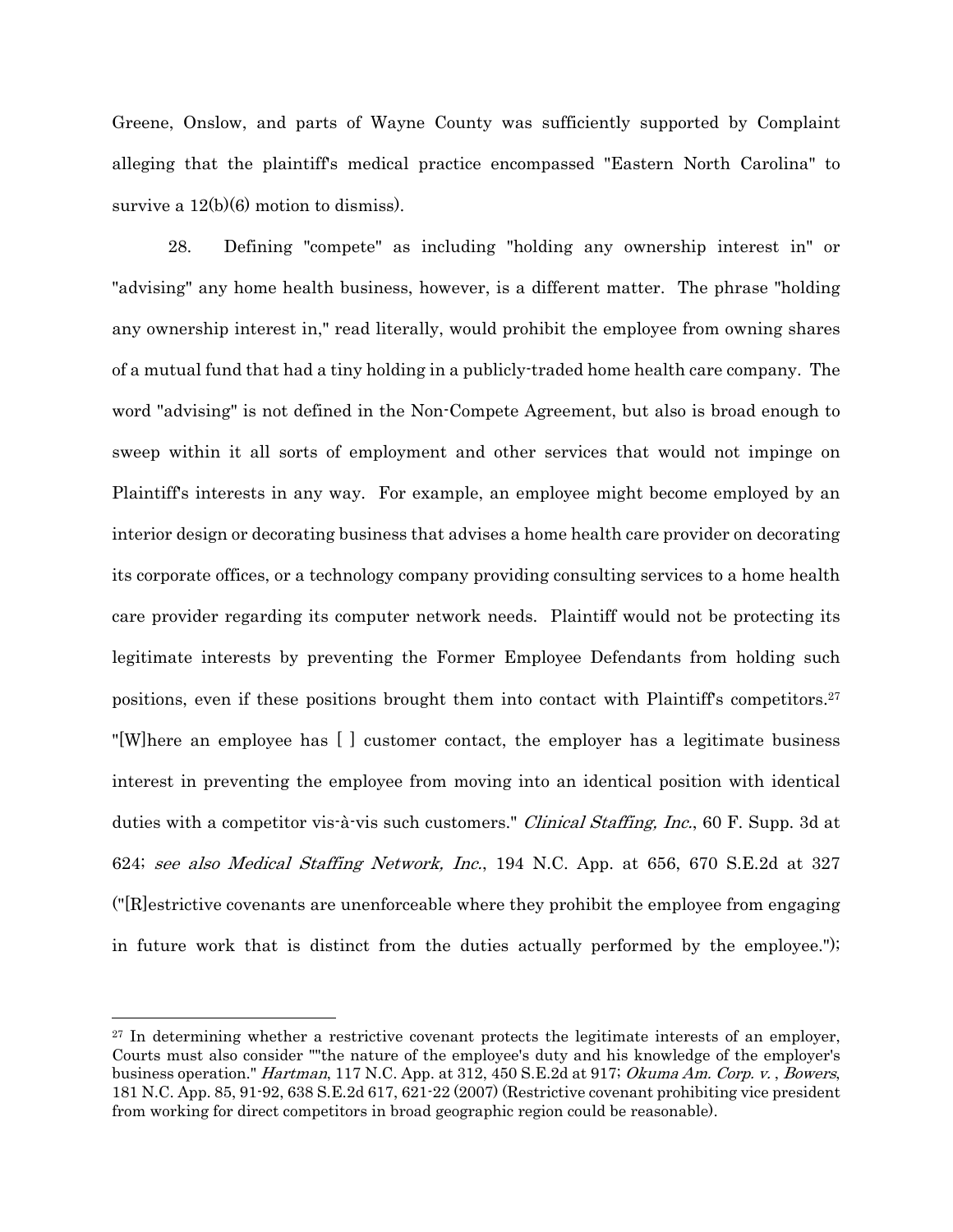Greene, Onslow, and parts of Wayne County was sufficiently supported by Complaint alleging that the plaintiff's medical practice encompassed "Eastern North Carolina" to survive a  $12(b)(6)$  motion to dismiss).

28. Defining "compete" as including "holding any ownership interest in" or "advising" any home health business, however, is a different matter. The phrase "holding any ownership interest in," read literally, would prohibit the employee from owning shares of a mutual fund that had a tiny holding in a publicly-traded home health care company. The word "advising" is not defined in the Non-Compete Agreement, but also is broad enough to sweep within it all sorts of employment and other services that would not impinge on Plaintiff's interests in any way. For example, an employee might become employed by an interior design or decorating business that advises a home health care provider on decorating its corporate offices, or a technology company providing consulting services to a home health care provider regarding its computer network needs. Plaintiff would not be protecting its legitimate interests by preventing the Former Employee Defendants from holding such positions, even if these positions brought them into contact with Plaintiff's competitors.27 "[W]here an employee has [ ] customer contact, the employer has a legitimate business interest in preventing the employee from moving into an identical position with identical duties with a competitor vis-à-vis such customers." *Clinical Staffing, Inc.*, 60 F. Supp. 3d at 624; see also Medical Staffing Network, Inc., 194 N.C. App. at 656, 670 S.E.2d at 327 ("[R]estrictive covenants are unenforceable where they prohibit the employee from engaging in future work that is distinct from the duties actually performed by the employee.");

 $27$  In determining whether a restrictive covenant protects the legitimate interests of an employer, Courts must also consider ""the nature of the employee's duty and his knowledge of the employer's business operation." Hartman, 117 N.C. App. at 312, 450 S.E.2d at 917; Okuma Am. Corp. v., Bowers, 181 N.C. App. 85, 91-92, 638 S.E.2d 617, 621-22 (2007) (Restrictive covenant prohibiting vice president from working for direct competitors in broad geographic region could be reasonable).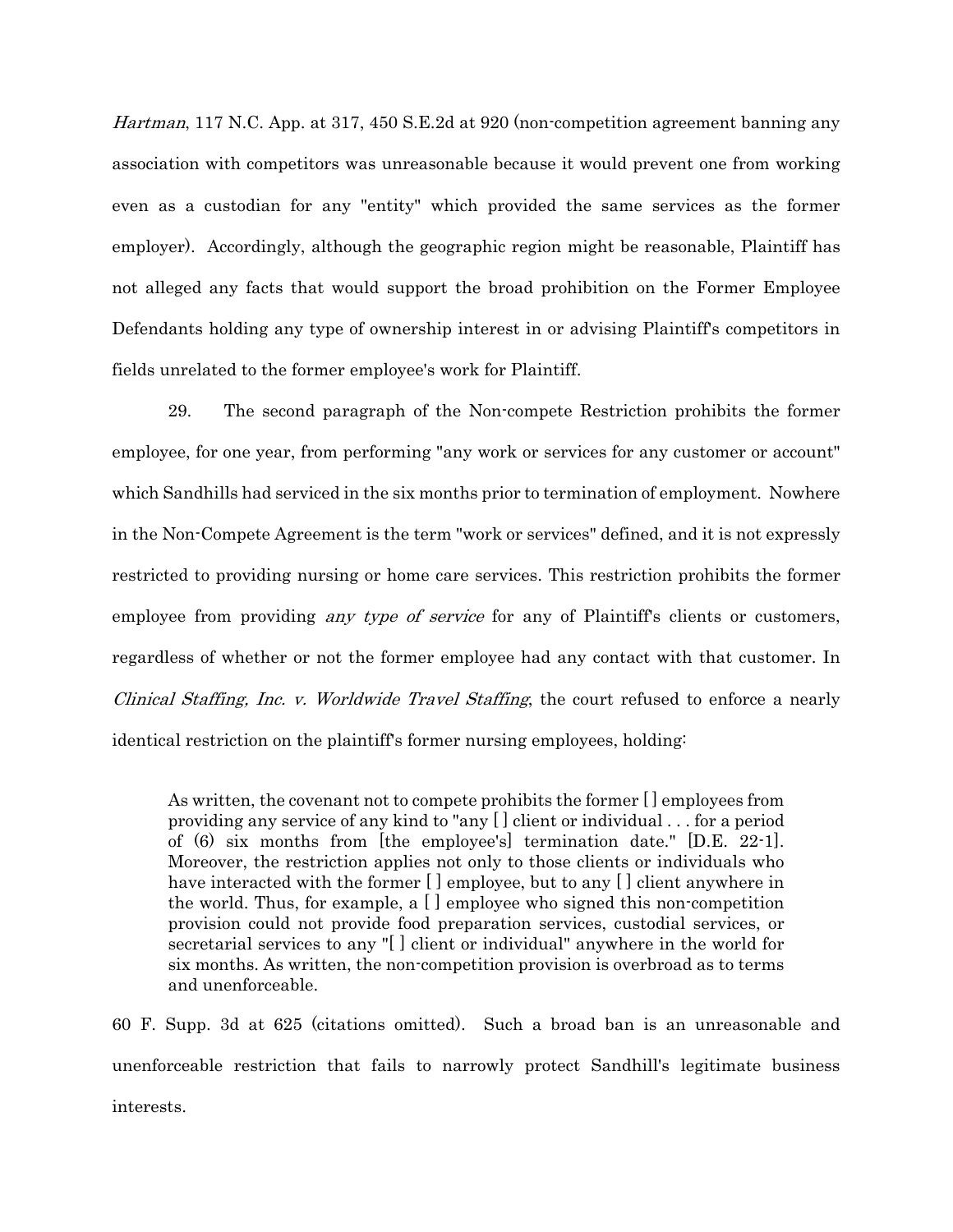Hartman, 117 N.C. App. at 317, 450 S.E. 2d at 920 (non-competition agreement banning any association with competitors was unreasonable because it would prevent one from working even as a custodian for any "entity" which provided the same services as the former employer). Accordingly, although the geographic region might be reasonable, Plaintiff has not alleged any facts that would support the broad prohibition on the Former Employee Defendants holding any type of ownership interest in or advising Plaintiff's competitors in fields unrelated to the former employee's work for Plaintiff.

29. The second paragraph of the Non-compete Restriction prohibits the former employee, for one year, from performing "any work or services for any customer or account" which Sandhills had serviced in the six months prior to termination of employment. Nowhere in the Non-Compete Agreement is the term "work or services" defined, and it is not expressly restricted to providing nursing or home care services. This restriction prohibits the former employee from providing *any type of service* for any of Plaintiff's clients or customers, regardless of whether or not the former employee had any contact with that customer. In Clinical Staffing, Inc. v. Worldwide Travel Staffing, the court refused to enforce a nearly identical restriction on the plaintiff's former nursing employees, holding:

As written, the covenant not to compete prohibits the former [ ] employees from providing any service of any kind to "any [ ] client or individual . . . for a period of  $(6)$  six months from [the employee's] termination date." [D.E. 22-1]. Moreover, the restriction applies not only to those clients or individuals who have interacted with the former  $\Box$  employee, but to any  $\Box$  client anywhere in the world. Thus, for example, a  $\Box$  employee who signed this non-competition provision could not provide food preparation services, custodial services, or secretarial services to any "[ ] client or individual" anywhere in the world for six months. As written, the non-competition provision is overbroad as to terms and unenforceable.

60 F. Supp. 3d at 625 (citations omitted). Such a broad ban is an unreasonable and unenforceable restriction that fails to narrowly protect Sandhill's legitimate business interests.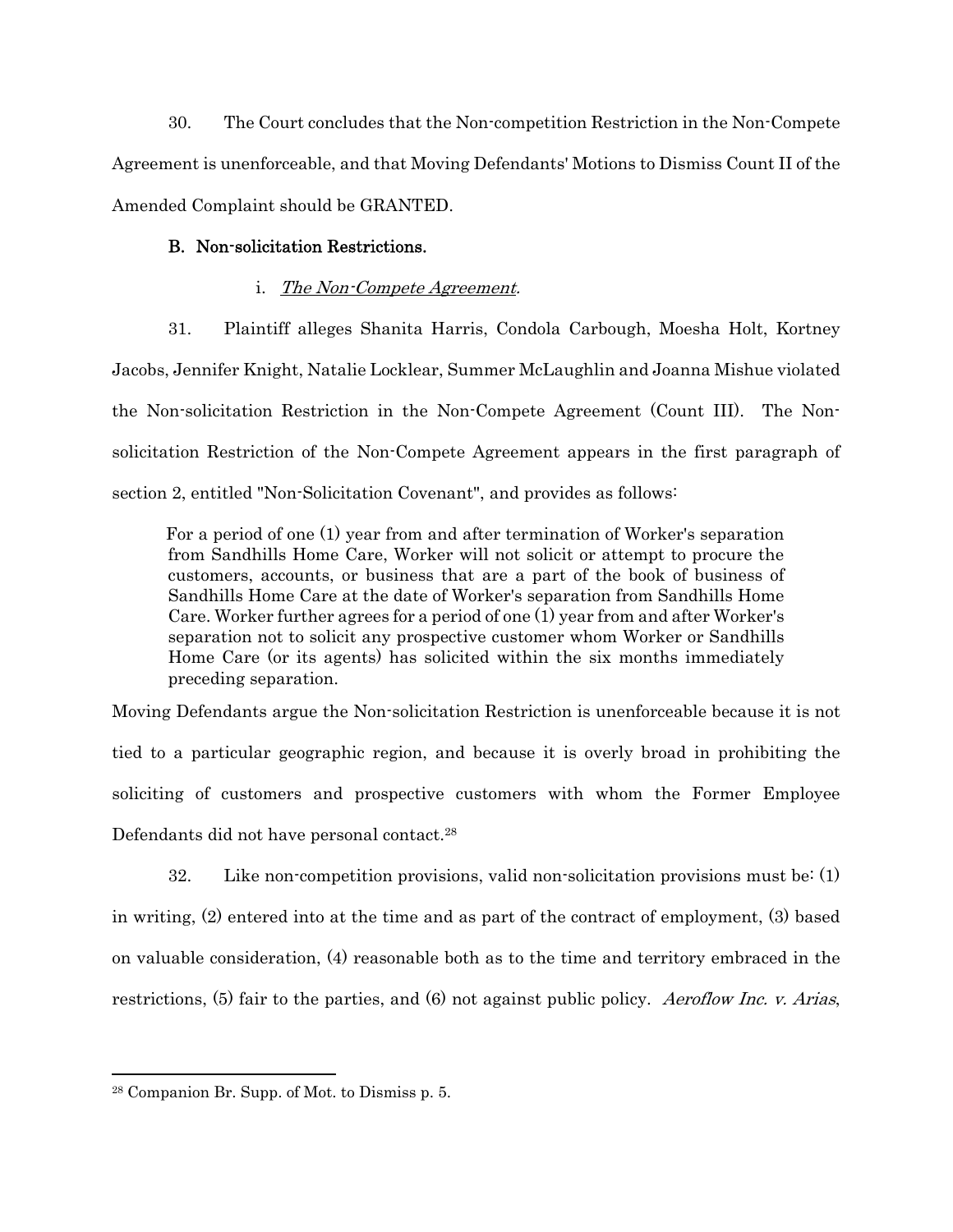30. The Court concludes that the Non-competition Restriction in the Non-Compete Agreement is unenforceable, and that Moving Defendants' Motions to Dismiss Count II of the Amended Complaint should be GRANTED.

## B. Non-solicitation Restrictions.

# i. The Non-Compete Agreement.

31. Plaintiff alleges Shanita Harris, Condola Carbough, Moesha Holt, Kortney Jacobs, Jennifer Knight, Natalie Locklear, Summer McLaughlin and Joanna Mishue violated the Non-solicitation Restriction in the Non-Compete Agreement (Count III). The Nonsolicitation Restriction of the Non-Compete Agreement appears in the first paragraph of section 2, entitled "Non-Solicitation Covenant", and provides as follows:

 For a period of one (1) year from and after termination of Worker's separation from Sandhills Home Care, Worker will not solicit or attempt to procure the customers, accounts, or business that are a part of the book of business of Sandhills Home Care at the date of Worker's separation from Sandhills Home Care. Worker further agrees for a period of one (1) year from and after Worker's separation not to solicit any prospective customer whom Worker or Sandhills Home Care (or its agents) has solicited within the six months immediately preceding separation.

Moving Defendants argue the Non-solicitation Restriction is unenforceable because it is not tied to a particular geographic region, and because it is overly broad in prohibiting the soliciting of customers and prospective customers with whom the Former Employee Defendants did not have personal contact.28

32. Like non-competition provisions, valid non-solicitation provisions must be: (1) in writing, (2) entered into at the time and as part of the contract of employment, (3) based on valuable consideration, (4) reasonable both as to the time and territory embraced in the restrictions, (5) fair to the parties, and (6) not against public policy. Aeroflow Inc. v. Arias,

<sup>28</sup> Companion Br. Supp. of Mot. to Dismiss p. 5.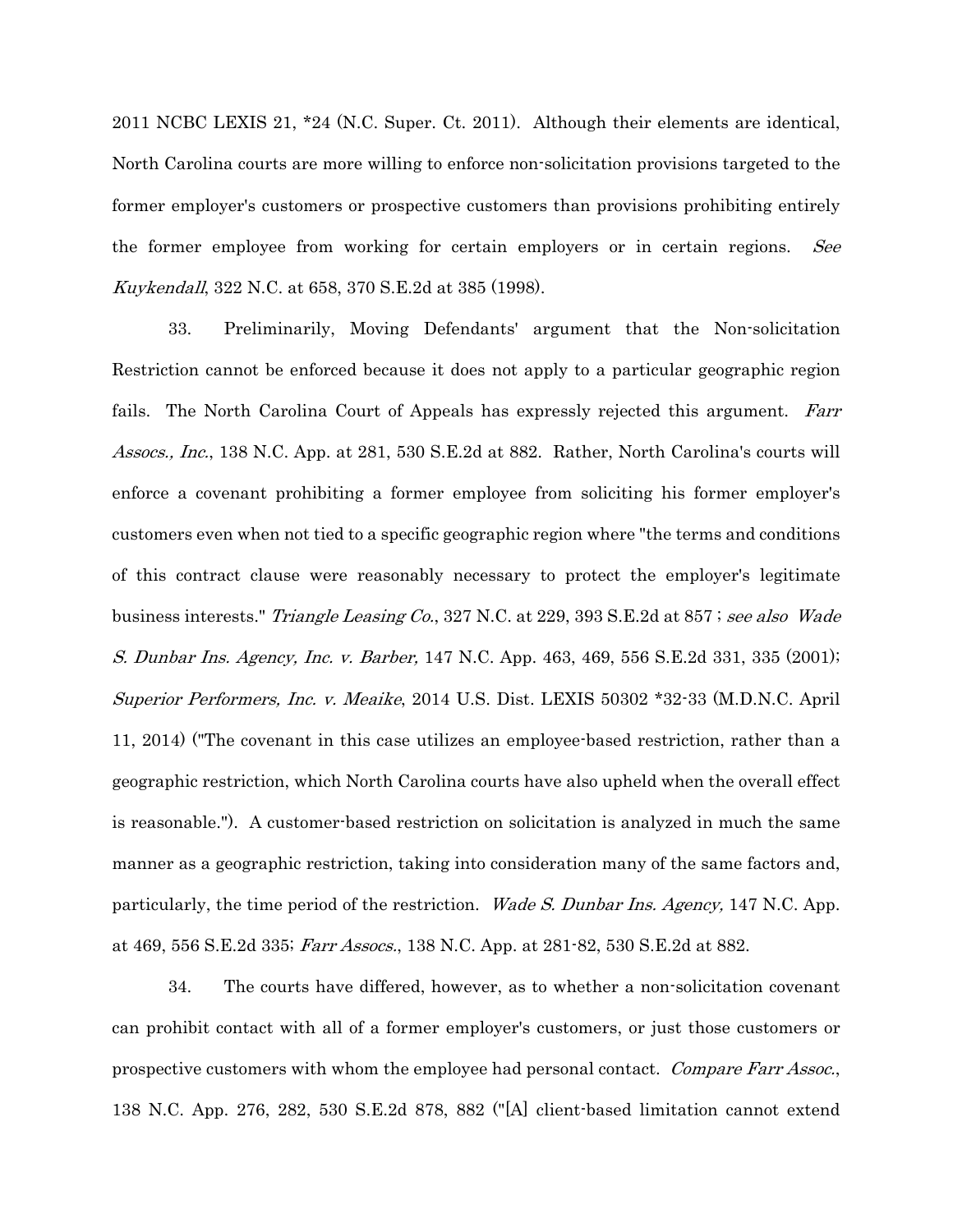2011 NCBC LEXIS 21, \*24 (N.C. Super. Ct. 2011). Although their elements are identical, North Carolina courts are more willing to enforce non-solicitation provisions targeted to the former employer's customers or prospective customers than provisions prohibiting entirely the former employee from working for certain employers or in certain regions. See Kuykendall, 322 N.C. at 658, 370 S.E.2d at 385 (1998).

33. Preliminarily, Moving Defendants' argument that the Non-solicitation Restriction cannot be enforced because it does not apply to a particular geographic region fails. The North Carolina Court of Appeals has expressly rejected this argument. Farr Assocs., Inc., 138 N.C. App. at 281, 530 S.E.2d at 882. Rather, North Carolina's courts will enforce a covenant prohibiting a former employee from soliciting his former employer's customers even when not tied to a specific geographic region where "the terms and conditions of this contract clause were reasonably necessary to protect the employer's legitimate business interests." Triangle Leasing Co., 327 N.C. at 229, 393 S.E.2d at 857; see also Wade S. Dunbar Ins. Agency, Inc. v. Barber, 147 N.C. App. 463, 469, 556 S.E.2d 331, 335 (2001); Superior Performers, Inc. v. Meaike, 2014 U.S. Dist. LEXIS 50302 \*32-33 (M.D.N.C. April 11, 2014) ("The covenant in this case utilizes an employee-based restriction, rather than a geographic restriction, which North Carolina courts have also upheld when the overall effect is reasonable."). A customer-based restriction on solicitation is analyzed in much the same manner as a geographic restriction, taking into consideration many of the same factors and, particularly, the time period of the restriction. Wade S. Dunbar Ins. Agency, 147 N.C. App. at 469, 556 S.E.2d 335; Farr Assocs., 138 N.C. App. at 281-82, 530 S.E.2d at 882.

34. The courts have differed, however, as to whether a non-solicitation covenant can prohibit contact with all of a former employer's customers, or just those customers or prospective customers with whom the employee had personal contact. Compare Farr Assoc., 138 N.C. App. 276, 282, 530 S.E.2d 878, 882 ("[A] client-based limitation cannot extend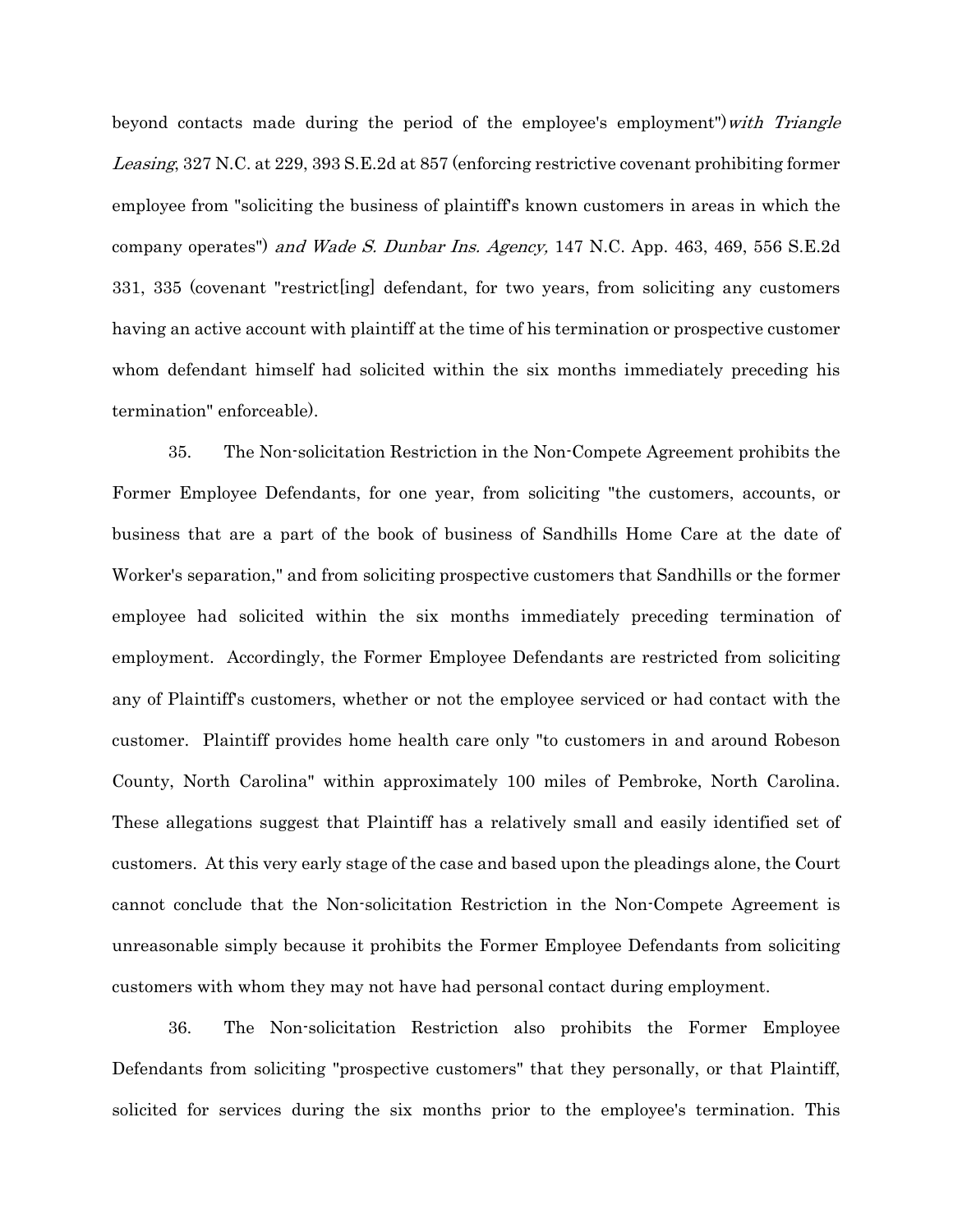beyond contacts made during the period of the employee's employment")*with Triangle* Leasing, 327 N.C. at 229, 393 S.E.2d at 857 (enforcing restrictive covenant prohibiting former employee from "soliciting the business of plaintiff's known customers in areas in which the company operates") and Wade S. Dunbar Ins. Agency, 147 N.C. App. 463, 469, 556 S.E.2d 331, 335 (covenant "restrict[ing] defendant, for two years, from soliciting any customers having an active account with plaintiff at the time of his termination or prospective customer whom defendant himself had solicited within the six months immediately preceding his termination" enforceable).

35. The Non-solicitation Restriction in the Non-Compete Agreement prohibits the Former Employee Defendants, for one year, from soliciting "the customers, accounts, or business that are a part of the book of business of Sandhills Home Care at the date of Worker's separation," and from soliciting prospective customers that Sandhills or the former employee had solicited within the six months immediately preceding termination of employment. Accordingly, the Former Employee Defendants are restricted from soliciting any of Plaintiff's customers, whether or not the employee serviced or had contact with the customer. Plaintiff provides home health care only "to customers in and around Robeson County, North Carolina" within approximately 100 miles of Pembroke, North Carolina. These allegations suggest that Plaintiff has a relatively small and easily identified set of customers. At this very early stage of the case and based upon the pleadings alone, the Court cannot conclude that the Non-solicitation Restriction in the Non-Compete Agreement is unreasonable simply because it prohibits the Former Employee Defendants from soliciting customers with whom they may not have had personal contact during employment.

36. The Non-solicitation Restriction also prohibits the Former Employee Defendants from soliciting "prospective customers" that they personally, or that Plaintiff, solicited for services during the six months prior to the employee's termination. This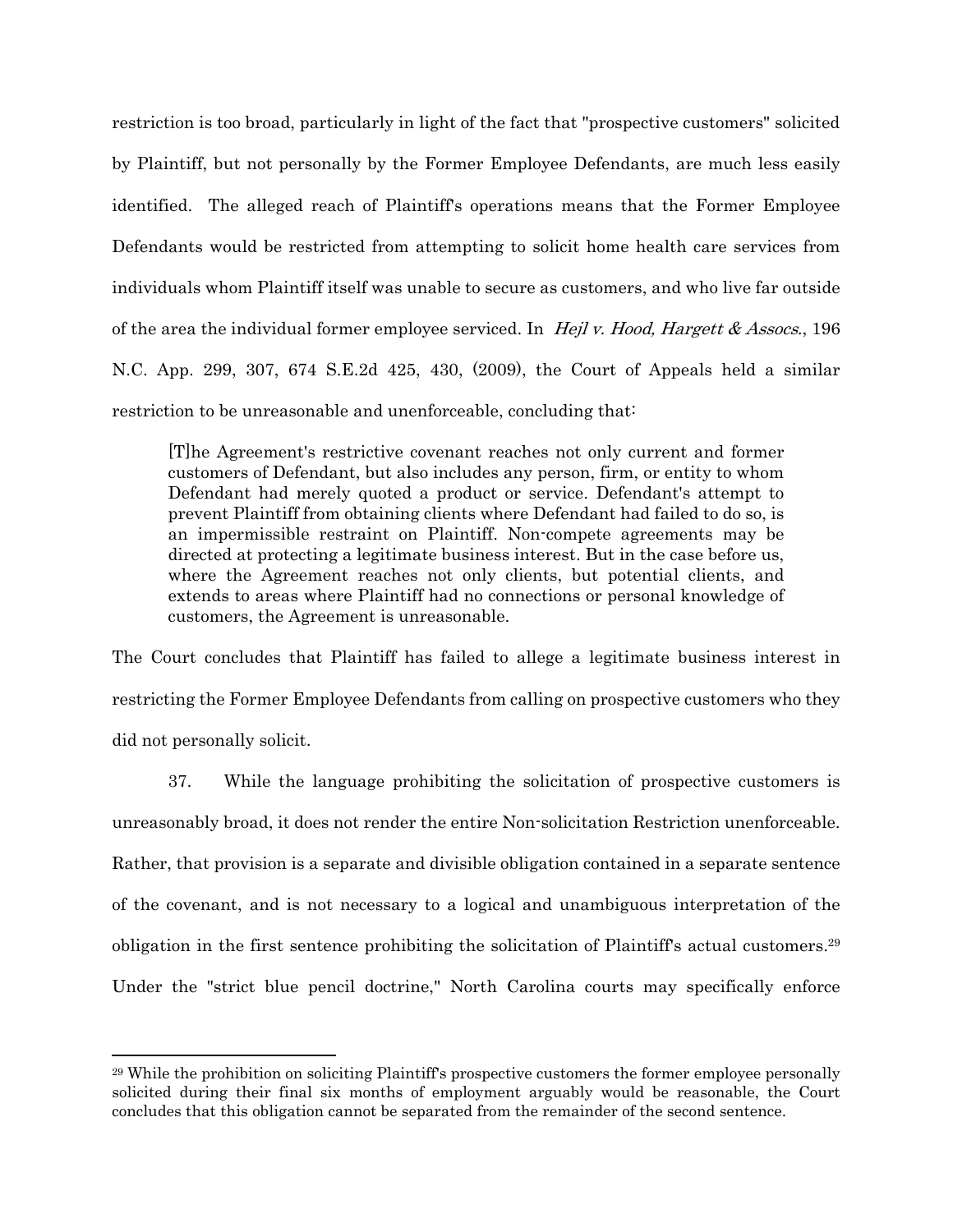restriction is too broad, particularly in light of the fact that "prospective customers" solicited by Plaintiff, but not personally by the Former Employee Defendants, are much less easily identified. The alleged reach of Plaintiff's operations means that the Former Employee Defendants would be restricted from attempting to solicit home health care services from individuals whom Plaintiff itself was unable to secure as customers, and who live far outside of the area the individual former employee serviced. In *Hejl v. Hood, Hargett & Assocs.*, 196 N.C. App. 299, 307, 674 S.E.2d 425, 430, (2009), the Court of Appeals held a similar restriction to be unreasonable and unenforceable, concluding that:

[T]he Agreement's restrictive covenant reaches not only current and former customers of Defendant, but also includes any person, firm, or entity to whom Defendant had merely quoted a product or service. Defendant's attempt to prevent Plaintiff from obtaining clients where Defendant had failed to do so, is an impermissible restraint on Plaintiff. Non-compete agreements may be directed at protecting a legitimate business interest. But in the case before us, where the Agreement reaches not only clients, but potential clients, and extends to areas where Plaintiff had no connections or personal knowledge of customers, the Agreement is unreasonable.

The Court concludes that Plaintiff has failed to allege a legitimate business interest in restricting the Former Employee Defendants from calling on prospective customers who they did not personally solicit.

37. While the language prohibiting the solicitation of prospective customers is unreasonably broad, it does not render the entire Non-solicitation Restriction unenforceable. Rather, that provision is a separate and divisible obligation contained in a separate sentence of the covenant, and is not necessary to a logical and unambiguous interpretation of the obligation in the first sentence prohibiting the solicitation of Plaintiff's actual customers.29 Under the "strict blue pencil doctrine," North Carolina courts may specifically enforce

<sup>29</sup> While the prohibition on soliciting Plaintiff's prospective customers the former employee personally solicited during their final six months of employment arguably would be reasonable, the Court concludes that this obligation cannot be separated from the remainder of the second sentence.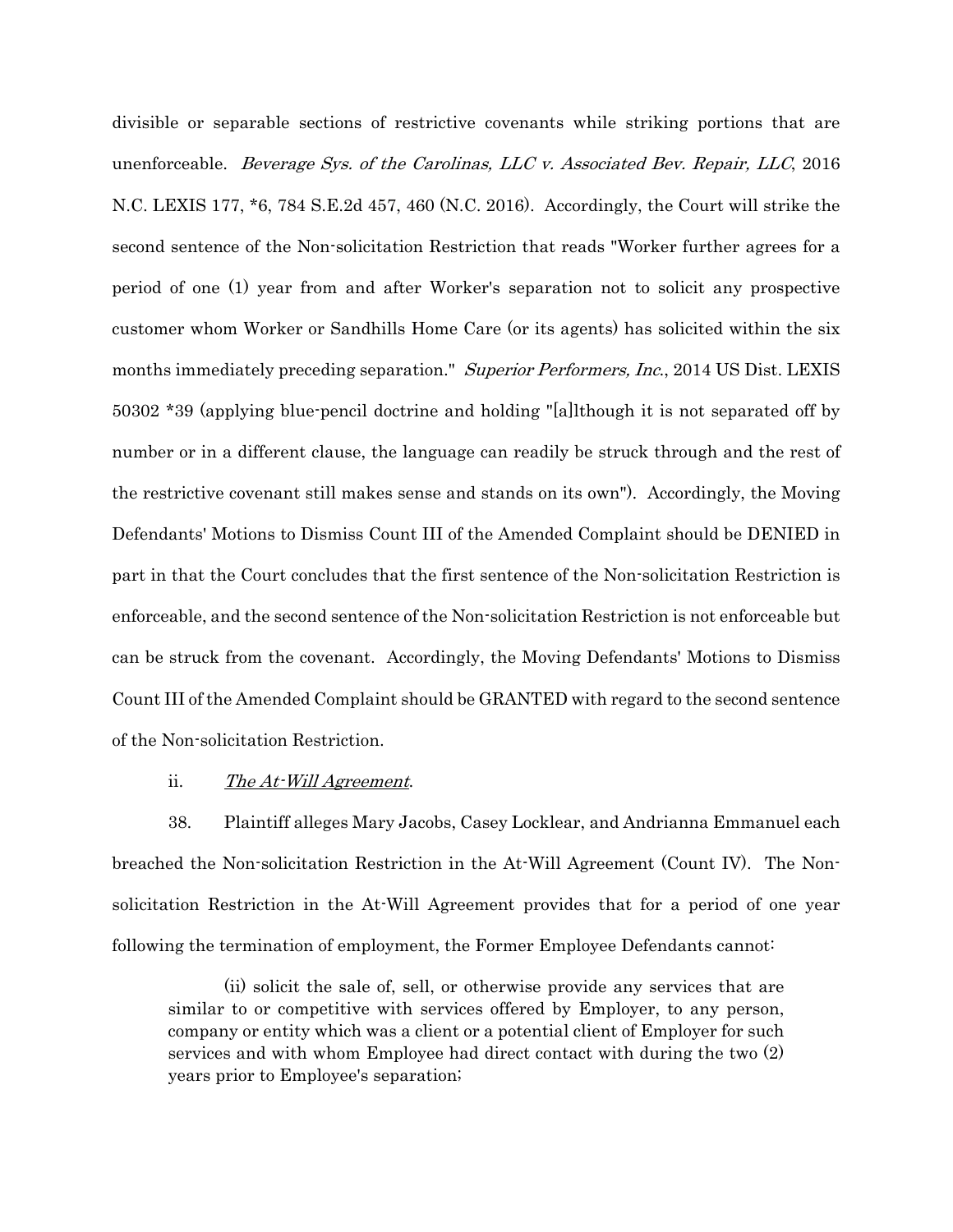divisible or separable sections of restrictive covenants while striking portions that are unenforceable. Beverage Sys. of the Carolinas, LLC v. Associated Bev. Repair, LLC, 2016 N.C. LEXIS 177, \*6, 784 S.E.2d 457, 460 (N.C. 2016). Accordingly, the Court will strike the second sentence of the Non-solicitation Restriction that reads "Worker further agrees for a period of one (1) year from and after Worker's separation not to solicit any prospective customer whom Worker or Sandhills Home Care (or its agents) has solicited within the six months immediately preceding separation." Superior Performers, Inc., 2014 US Dist. LEXIS 50302 \*39 (applying blue-pencil doctrine and holding "[a]lthough it is not separated off by number or in a different clause, the language can readily be struck through and the rest of the restrictive covenant still makes sense and stands on its own"). Accordingly, the Moving Defendants' Motions to Dismiss Count III of the Amended Complaint should be DENIED in part in that the Court concludes that the first sentence of the Non-solicitation Restriction is enforceable, and the second sentence of the Non-solicitation Restriction is not enforceable but can be struck from the covenant. Accordingly, the Moving Defendants' Motions to Dismiss Count III of the Amended Complaint should be GRANTED with regard to the second sentence of the Non-solicitation Restriction.

### ii. The At-Will Agreement.

38. Plaintiff alleges Mary Jacobs, Casey Locklear, and Andrianna Emmanuel each breached the Non-solicitation Restriction in the At-Will Agreement (Count IV). The Nonsolicitation Restriction in the At-Will Agreement provides that for a period of one year following the termination of employment, the Former Employee Defendants cannot:

 (ii) solicit the sale of, sell, or otherwise provide any services that are similar to or competitive with services offered by Employer, to any person, company or entity which was a client or a potential client of Employer for such services and with whom Employee had direct contact with during the two (2) years prior to Employee's separation;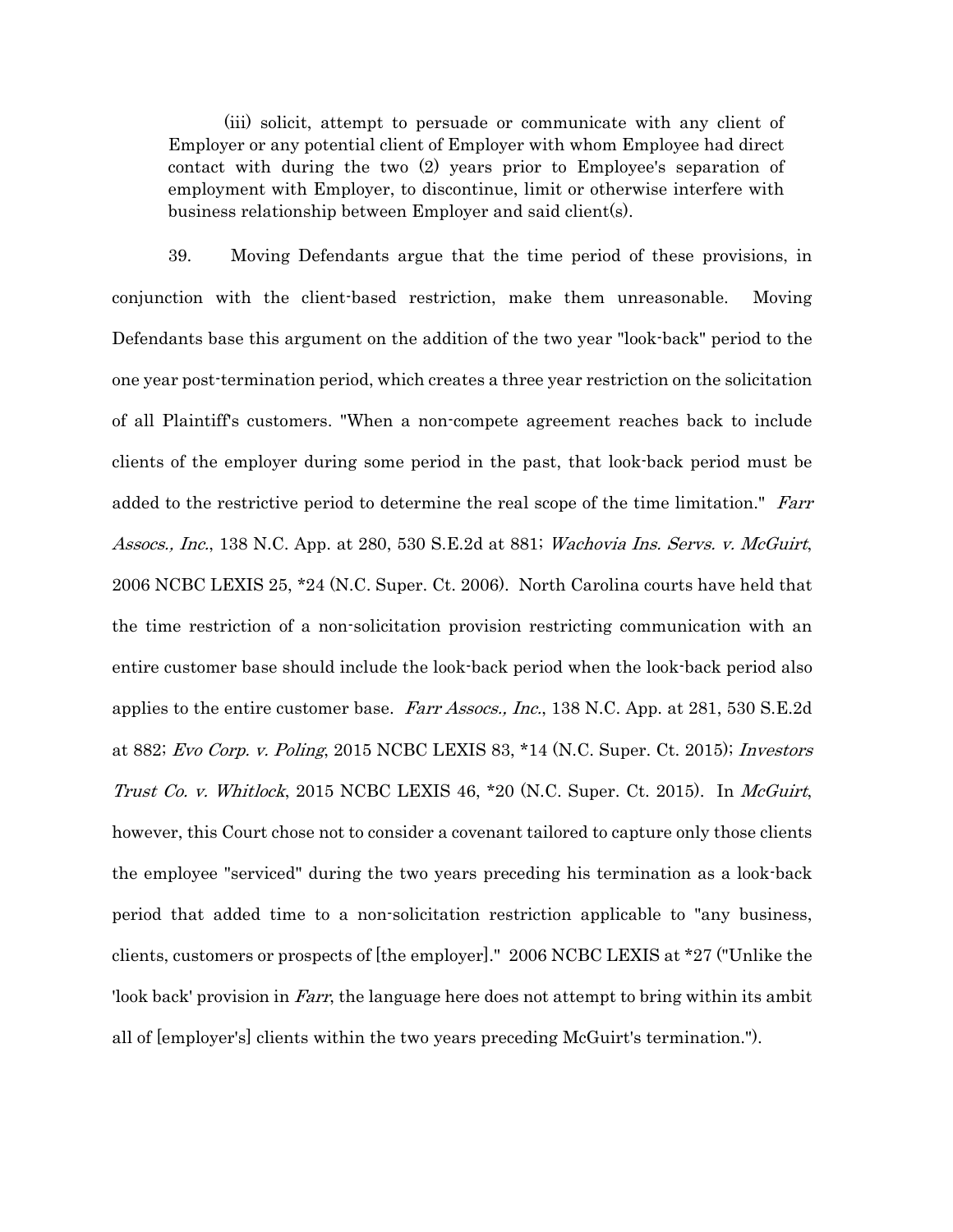(iii) solicit, attempt to persuade or communicate with any client of Employer or any potential client of Employer with whom Employee had direct contact with during the two (2) years prior to Employee's separation of employment with Employer, to discontinue, limit or otherwise interfere with business relationship between Employer and said client(s).

39. Moving Defendants argue that the time period of these provisions, in conjunction with the client-based restriction, make them unreasonable. Moving Defendants base this argument on the addition of the two year "look-back" period to the one year post-termination period, which creates a three year restriction on the solicitation of all Plaintiff's customers. "When a non-compete agreement reaches back to include clients of the employer during some period in the past, that look-back period must be added to the restrictive period to determine the real scope of the time limitation." Farr Assocs., Inc., 138 N.C. App. at 280, 530 S.E.2d at 881; Wachovia Ins. Servs. v. McGuirt, 2006 NCBC LEXIS 25, \*24 (N.C. Super. Ct. 2006). North Carolina courts have held that the time restriction of a non-solicitation provision restricting communication with an entire customer base should include the look-back period when the look-back period also applies to the entire customer base. Farr Assocs., Inc., 138 N.C. App. at 281, 530 S.E.2d at 882; Evo Corp. v. Poling, 2015 NCBC LEXIS 83, \*14 (N.C. Super. Ct. 2015); Investors Trust Co. v. Whitlock, 2015 NCBC LEXIS 46,  $*20$  (N.C. Super. Ct. 2015). In McGuirt, however, this Court chose not to consider a covenant tailored to capture only those clients the employee "serviced" during the two years preceding his termination as a look-back period that added time to a non-solicitation restriction applicable to "any business, clients, customers or prospects of [the employer]." 2006 NCBC LEXIS at \*27 ("Unlike the 'look back' provision in Farr, the language here does not attempt to bring within its ambit all of [employer's] clients within the two years preceding McGuirt's termination.").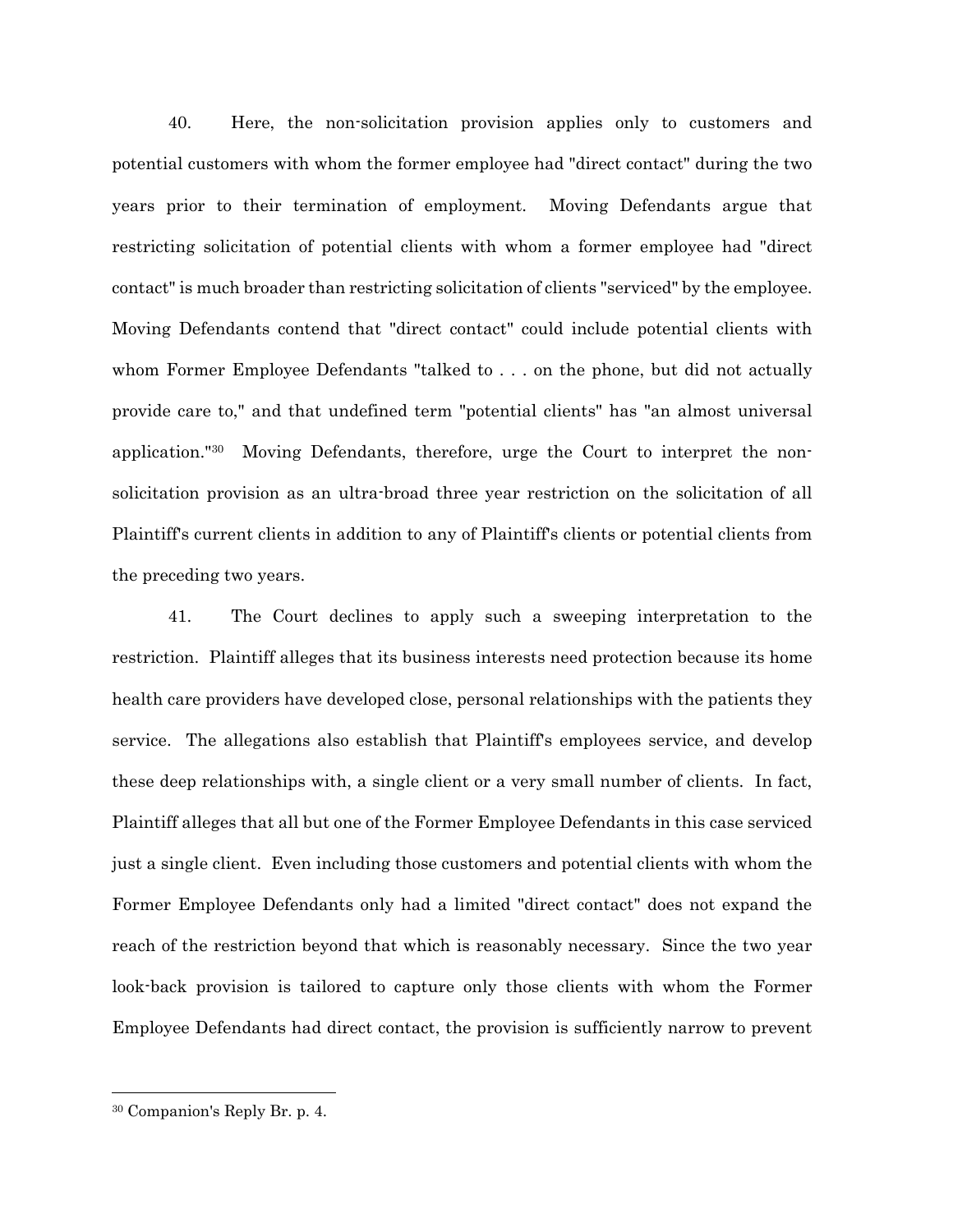40. Here, the non-solicitation provision applies only to customers and potential customers with whom the former employee had "direct contact" during the two years prior to their termination of employment. Moving Defendants argue that restricting solicitation of potential clients with whom a former employee had "direct contact" is much broader than restricting solicitation of clients "serviced" by the employee. Moving Defendants contend that "direct contact" could include potential clients with whom Former Employee Defendants "talked to . . . on the phone, but did not actually provide care to," and that undefined term "potential clients" has "an almost universal application."30 Moving Defendants, therefore, urge the Court to interpret the nonsolicitation provision as an ultra-broad three year restriction on the solicitation of all Plaintiff's current clients in addition to any of Plaintiff's clients or potential clients from the preceding two years.

41. The Court declines to apply such a sweeping interpretation to the restriction. Plaintiff alleges that its business interests need protection because its home health care providers have developed close, personal relationships with the patients they service. The allegations also establish that Plaintiff's employees service, and develop these deep relationships with, a single client or a very small number of clients. In fact, Plaintiff alleges that all but one of the Former Employee Defendants in this case serviced just a single client. Even including those customers and potential clients with whom the Former Employee Defendants only had a limited "direct contact" does not expand the reach of the restriction beyond that which is reasonably necessary. Since the two year look-back provision is tailored to capture only those clients with whom the Former Employee Defendants had direct contact, the provision is sufficiently narrow to prevent

 30 Companion's Reply Br. p. 4.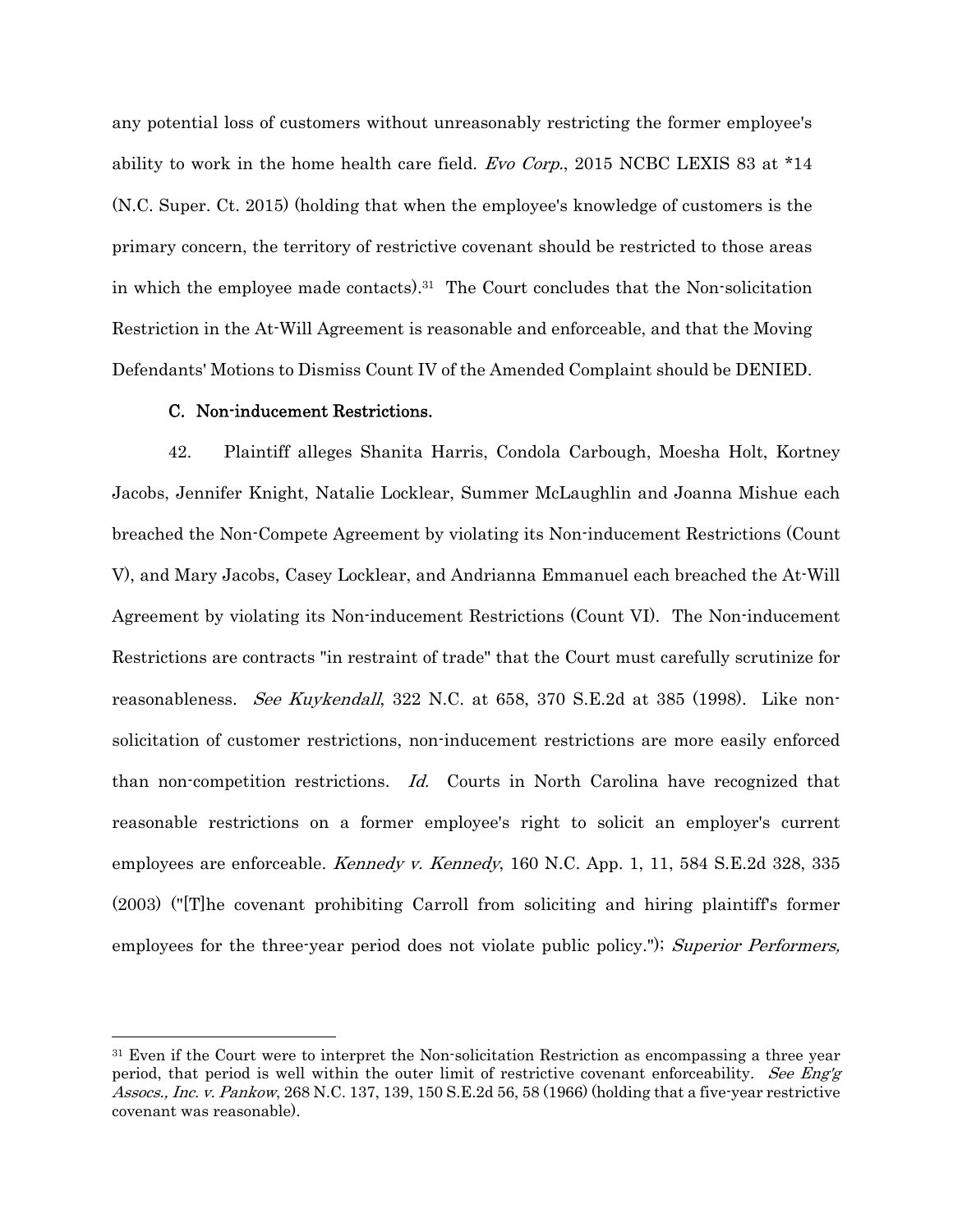any potential loss of customers without unreasonably restricting the former employee's ability to work in the home health care field. *Evo Corp.*, 2015 NCBC LEXIS 83 at \*14 (N.C. Super. Ct. 2015) (holding that when the employee's knowledge of customers is the primary concern, the territory of restrictive covenant should be restricted to those areas in which the employee made contacts).31 The Court concludes that the Non-solicitation Restriction in the At-Will Agreement is reasonable and enforceable, and that the Moving Defendants' Motions to Dismiss Count IV of the Amended Complaint should be DENIED.

### C. Non-inducement Restrictions.

42. Plaintiff alleges Shanita Harris, Condola Carbough, Moesha Holt, Kortney Jacobs, Jennifer Knight, Natalie Locklear, Summer McLaughlin and Joanna Mishue each breached the Non-Compete Agreement by violating its Non-inducement Restrictions (Count V), and Mary Jacobs, Casey Locklear, and Andrianna Emmanuel each breached the At-Will Agreement by violating its Non-inducement Restrictions (Count VI). The Non-inducement Restrictions are contracts "in restraint of trade" that the Court must carefully scrutinize for reasonableness. See Kuykendall, 322 N.C. at 658, 370 S.E.2d at 385 (1998). Like nonsolicitation of customer restrictions, non-inducement restrictions are more easily enforced than non-competition restrictions. Id. Courts in North Carolina have recognized that reasonable restrictions on a former employee's right to solicit an employer's current employees are enforceable. Kennedy v. Kennedy, 160 N.C. App. 1, 11, 584 S.E.2d 328, 335 (2003) ("[T]he covenant prohibiting Carroll from soliciting and hiring plaintiff's former employees for the three-year period does not violate public policy."); Superior Performers,

<sup>&</sup>lt;sup>31</sup> Even if the Court were to interpret the Non-solicitation Restriction as encompassing a three year period, that period is well within the outer limit of restrictive covenant enforceability. See Eng'g Assocs., Inc. v. Pankow, 268 N.C. 137, 139, 150 S.E.2d 56, 58 (1966) (holding that a five-year restrictive covenant was reasonable).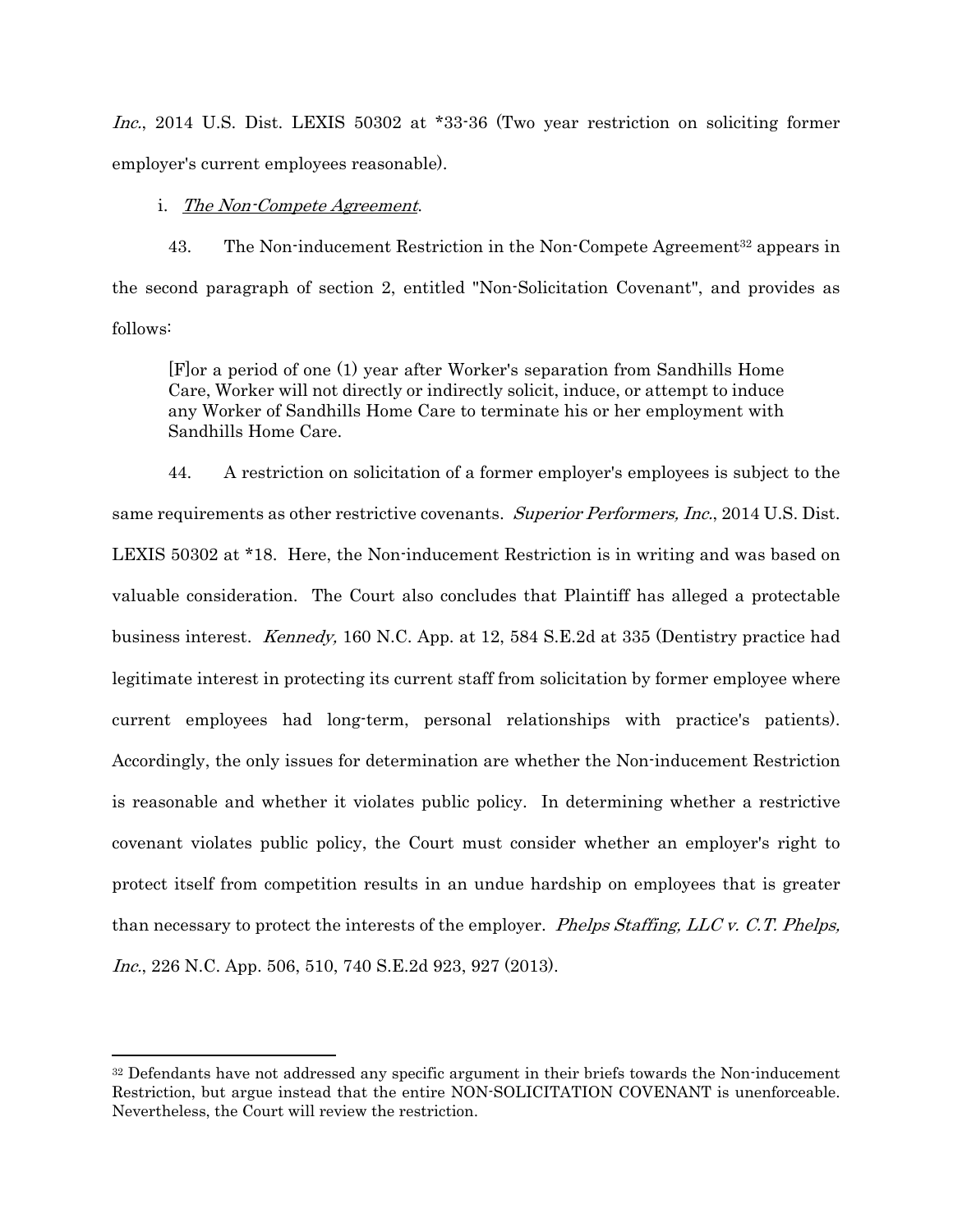Inc., 2014 U.S. Dist. LEXIS 50302 at \*33-36 (Two year restriction on soliciting former employer's current employees reasonable).

### i. The Non-Compete Agreement.

43. The Non-inducement Restriction in the Non-Compete Agreement<sup>32</sup> appears in the second paragraph of section 2, entitled "Non-Solicitation Covenant", and provides as follows:

[F]or a period of one (1) year after Worker's separation from Sandhills Home Care, Worker will not directly or indirectly solicit, induce, or attempt to induce any Worker of Sandhills Home Care to terminate his or her employment with Sandhills Home Care.

44. A restriction on solicitation of a former employer's employees is subject to the same requirements as other restrictive covenants. Superior Performers, Inc., 2014 U.S. Dist. LEXIS 50302 at \*18. Here, the Non-inducement Restriction is in writing and was based on valuable consideration. The Court also concludes that Plaintiff has alleged a protectable business interest. Kennedy, 160 N.C. App. at 12, 584 S.E.2d at 335 (Dentistry practice had legitimate interest in protecting its current staff from solicitation by former employee where current employees had long-term, personal relationships with practice's patients). Accordingly, the only issues for determination are whether the Non-inducement Restriction is reasonable and whether it violates public policy. In determining whether a restrictive covenant violates public policy, the Court must consider whether an employer's right to protect itself from competition results in an undue hardship on employees that is greater than necessary to protect the interests of the employer. Phelps Staffing, LLC v. C.T. Phelps, Inc., 226 N.C. App. 506, 510, 740 S.E.2d 923, 927 (2013).

<sup>&</sup>lt;sup>32</sup> Defendants have not addressed any specific argument in their briefs towards the Non-inducement Restriction, but argue instead that the entire NON-SOLICITATION COVENANT is unenforceable. Nevertheless, the Court will review the restriction.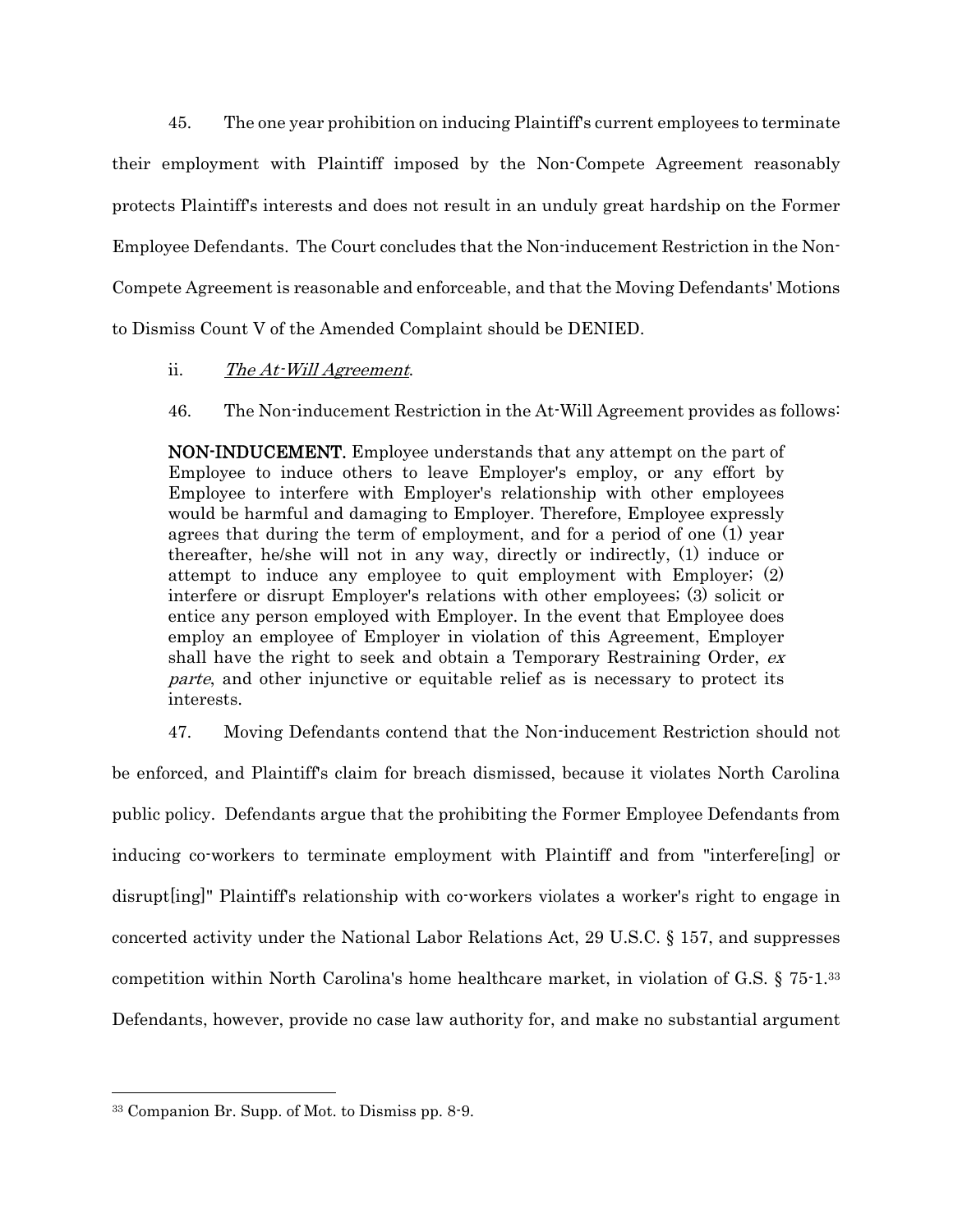45. The one year prohibition on inducing Plaintiff's current employees to terminate their employment with Plaintiff imposed by the Non-Compete Agreement reasonably protects Plaintiff's interests and does not result in an unduly great hardship on the Former Employee Defendants. The Court concludes that the Non-inducement Restriction in the Non-Compete Agreement is reasonable and enforceable, and that the Moving Defendants' Motions to Dismiss Count V of the Amended Complaint should be DENIED.

## ii. The At-Will Agreement.

46. The Non-inducement Restriction in the At-Will Agreement provides as follows:

NON-INDUCEMENT. Employee understands that any attempt on the part of Employee to induce others to leave Employer's employ, or any effort by Employee to interfere with Employer's relationship with other employees would be harmful and damaging to Employer. Therefore, Employee expressly agrees that during the term of employment, and for a period of one (1) year thereafter, he/she will not in any way, directly or indirectly, (1) induce or attempt to induce any employee to quit employment with Employer; (2) interfere or disrupt Employer's relations with other employees; (3) solicit or entice any person employed with Employer. In the event that Employee does employ an employee of Employer in violation of this Agreement, Employer shall have the right to seek and obtain a Temporary Restraining Order, ex parte, and other injunctive or equitable relief as is necessary to protect its interests.

47. Moving Defendants contend that the Non-inducement Restriction should not

be enforced, and Plaintiff's claim for breach dismissed, because it violates North Carolina public policy. Defendants argue that the prohibiting the Former Employee Defendants from inducing co-workers to terminate employment with Plaintiff and from "interfere[ing] or disrupt[ing]" Plaintiff's relationship with co-workers violates a worker's right to engage in concerted activity under the National Labor Relations Act, 29 U.S.C. § 157, and suppresses competition within North Carolina's home healthcare market, in violation of G.S. § 75-1.33 Defendants, however, provide no case law authority for, and make no substantial argument

<sup>33</sup> Companion Br. Supp. of Mot. to Dismiss pp. 8-9.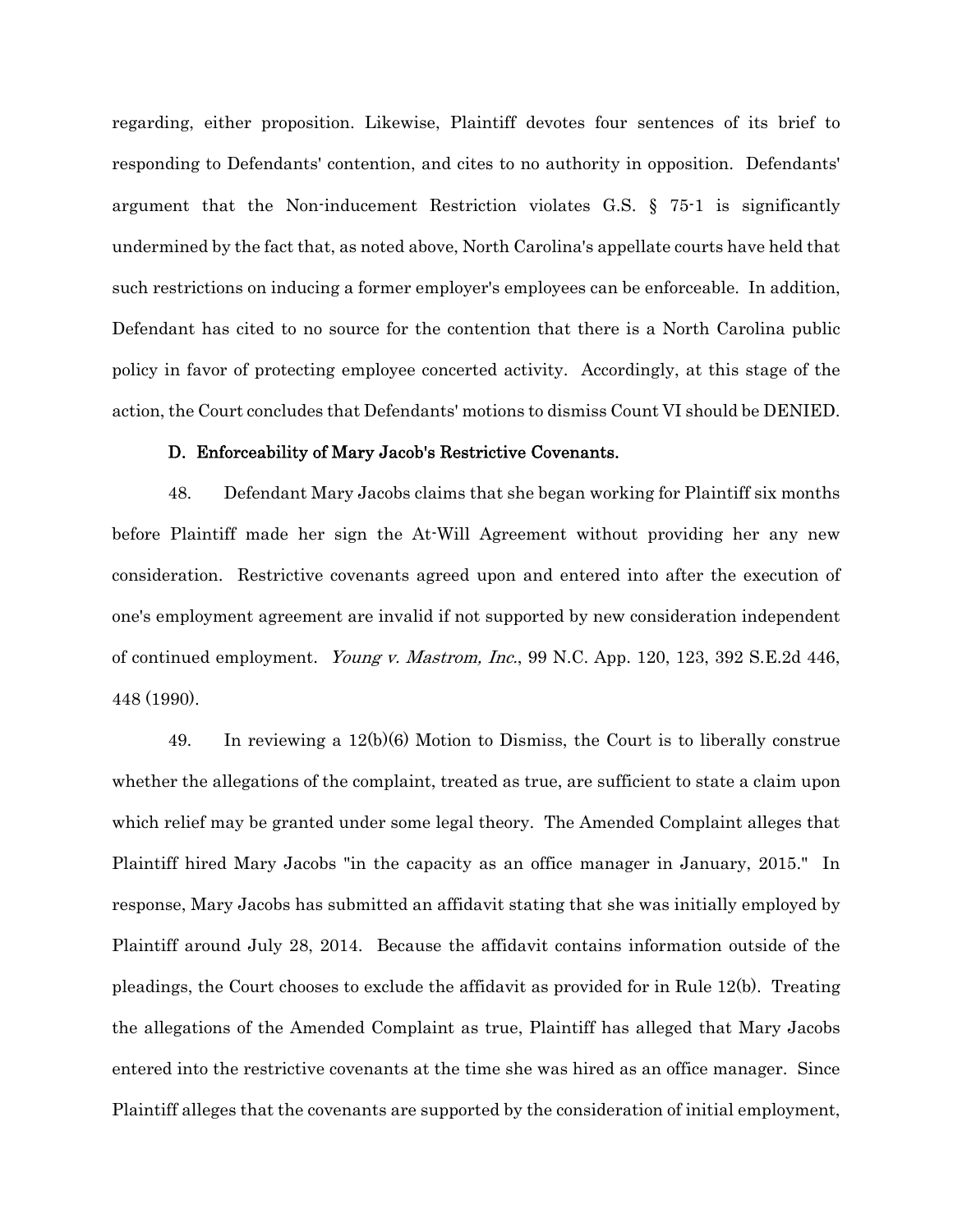regarding, either proposition. Likewise, Plaintiff devotes four sentences of its brief to responding to Defendants' contention, and cites to no authority in opposition. Defendants' argument that the Non-inducement Restriction violates G.S. § 75-1 is significantly undermined by the fact that, as noted above, North Carolina's appellate courts have held that such restrictions on inducing a former employer's employees can be enforceable. In addition, Defendant has cited to no source for the contention that there is a North Carolina public policy in favor of protecting employee concerted activity. Accordingly, at this stage of the action, the Court concludes that Defendants' motions to dismiss Count VI should be DENIED.

### D. Enforceability of Mary Jacob's Restrictive Covenants.

48. Defendant Mary Jacobs claims that she began working for Plaintiff six months before Plaintiff made her sign the At-Will Agreement without providing her any new consideration. Restrictive covenants agreed upon and entered into after the execution of one's employment agreement are invalid if not supported by new consideration independent of continued employment. Young v. Mastrom, Inc., 99 N.C. App. 120, 123, 392 S.E.2d 446, 448 (1990).

49. In reviewing a 12(b)(6) Motion to Dismiss, the Court is to liberally construe whether the allegations of the complaint, treated as true, are sufficient to state a claim upon which relief may be granted under some legal theory. The Amended Complaint alleges that Plaintiff hired Mary Jacobs "in the capacity as an office manager in January, 2015." In response, Mary Jacobs has submitted an affidavit stating that she was initially employed by Plaintiff around July 28, 2014. Because the affidavit contains information outside of the pleadings, the Court chooses to exclude the affidavit as provided for in Rule 12(b). Treating the allegations of the Amended Complaint as true, Plaintiff has alleged that Mary Jacobs entered into the restrictive covenants at the time she was hired as an office manager. Since Plaintiff alleges that the covenants are supported by the consideration of initial employment,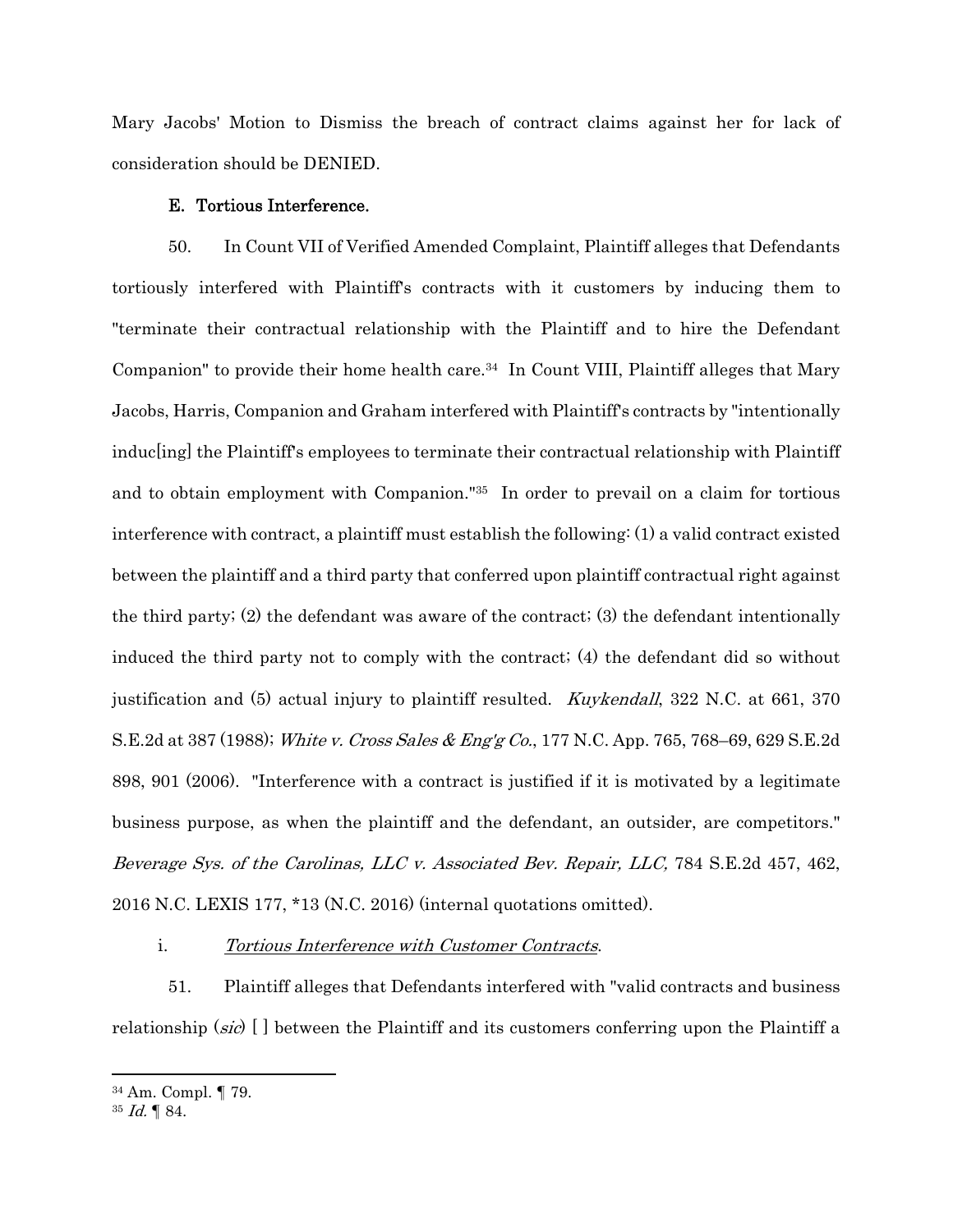Mary Jacobs' Motion to Dismiss the breach of contract claims against her for lack of consideration should be DENIED.

### E. Tortious Interference.

50. In Count VII of Verified Amended Complaint, Plaintiff alleges that Defendants tortiously interfered with Plaintiff's contracts with it customers by inducing them to "terminate their contractual relationship with the Plaintiff and to hire the Defendant Companion" to provide their home health care.<sup>34</sup> In Count VIII, Plaintiff alleges that Mary Jacobs, Harris, Companion and Graham interfered with Plaintiff's contracts by "intentionally induc[ing] the Plaintiff's employees to terminate their contractual relationship with Plaintiff and to obtain employment with Companion."35 In order to prevail on a claim for tortious interference with contract, a plaintiff must establish the following: (1) a valid contract existed between the plaintiff and a third party that conferred upon plaintiff contractual right against the third party; (2) the defendant was aware of the contract; (3) the defendant intentionally induced the third party not to comply with the contract; (4) the defendant did so without justification and (5) actual injury to plaintiff resulted. *Kuykendall*, 322 N.C. at 661, 370 S.E.2d at 387 (1988); White v. Cross Sales & Eng'g Co., 177 N.C. App. 765, 768–69, 629 S.E.2d 898, 901 (2006). "Interference with a contract is justified if it is motivated by a legitimate business purpose, as when the plaintiff and the defendant, an outsider, are competitors." Beverage Sys. of the Carolinas, LLC v. Associated Bev. Repair, LLC, 784 S.E.2d 457, 462, 2016 N.C. LEXIS 177, \*13 (N.C. 2016) (internal quotations omitted).

i. Tortious Interference with Customer Contracts.

51. Plaintiff alleges that Defendants interfered with "valid contracts and business relationship (sic)  $\Box$  between the Plaintiff and its customers conferring upon the Plaintiff a

<sup>34</sup> Am. Compl. ¶ 79.

 $35$  *Id.*  $\llbracket 84.$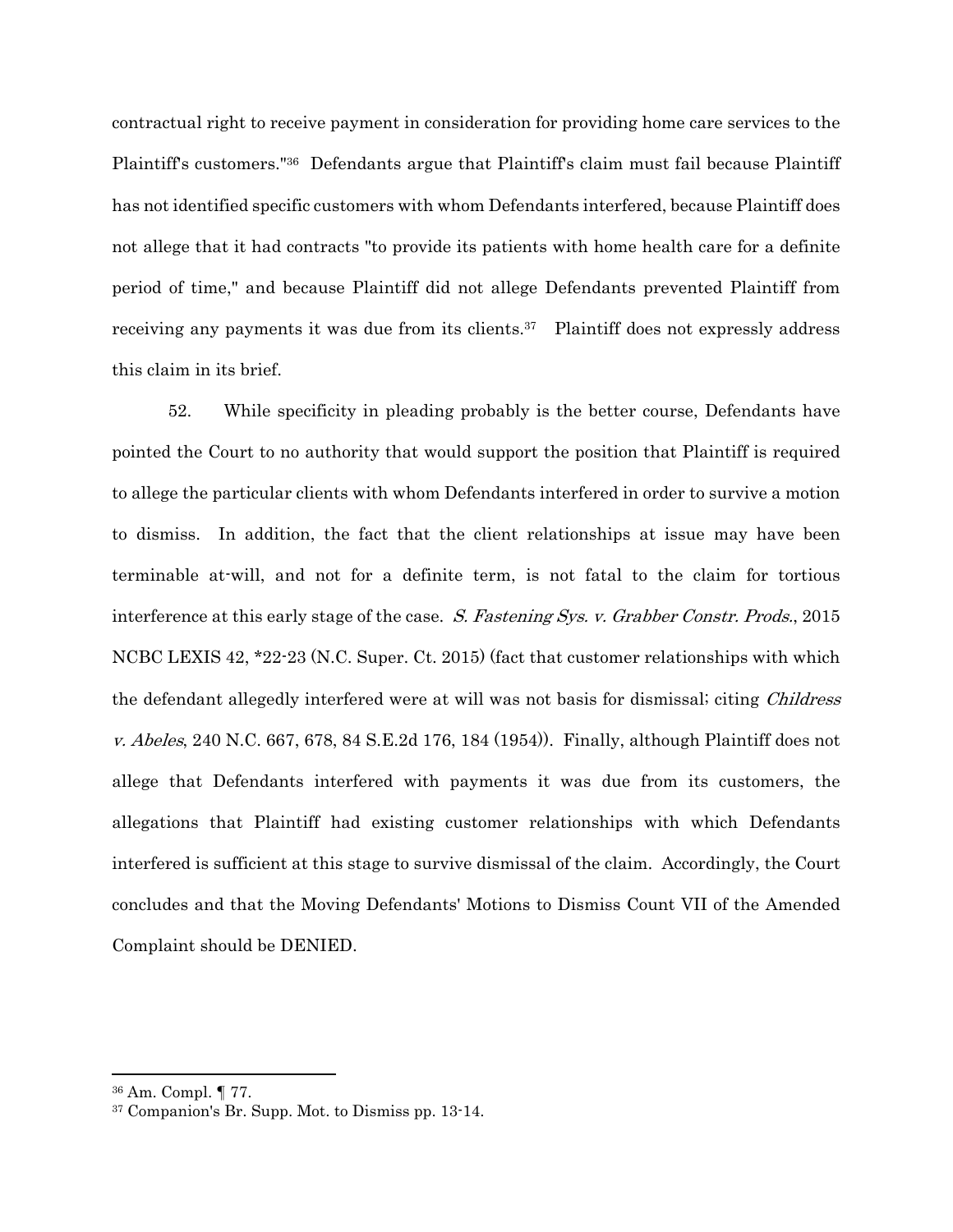contractual right to receive payment in consideration for providing home care services to the Plaintiff's customers."36 Defendants argue that Plaintiff's claim must fail because Plaintiff has not identified specific customers with whom Defendants interfered, because Plaintiff does not allege that it had contracts "to provide its patients with home health care for a definite period of time," and because Plaintiff did not allege Defendants prevented Plaintiff from receiving any payments it was due from its clients.37 Plaintiff does not expressly address this claim in its brief.

52. While specificity in pleading probably is the better course, Defendants have pointed the Court to no authority that would support the position that Plaintiff is required to allege the particular clients with whom Defendants interfered in order to survive a motion to dismiss. In addition, the fact that the client relationships at issue may have been terminable at-will, and not for a definite term, is not fatal to the claim for tortious interference at this early stage of the case. S. Fastening Sys. v. Grabber Constr. Prods., 2015 NCBC LEXIS 42, \*22-23 (N.C. Super. Ct. 2015) (fact that customer relationships with which the defendant allegedly interfered were at will was not basis for dismissal; citing *Childress v. Abeles*, 240 N.C. 667, 678, 84 S.E. 2d 176, 184 (1954). Finally, although Plaintiff does not allege that Defendants interfered with payments it was due from its customers, the allegations that Plaintiff had existing customer relationships with which Defendants interfered is sufficient at this stage to survive dismissal of the claim. Accordingly, the Court concludes and that the Moving Defendants' Motions to Dismiss Count VII of the Amended Complaint should be DENIED.

<sup>36</sup> Am. Compl. ¶ 77.

<sup>37</sup> Companion's Br. Supp. Mot. to Dismiss pp. 13-14.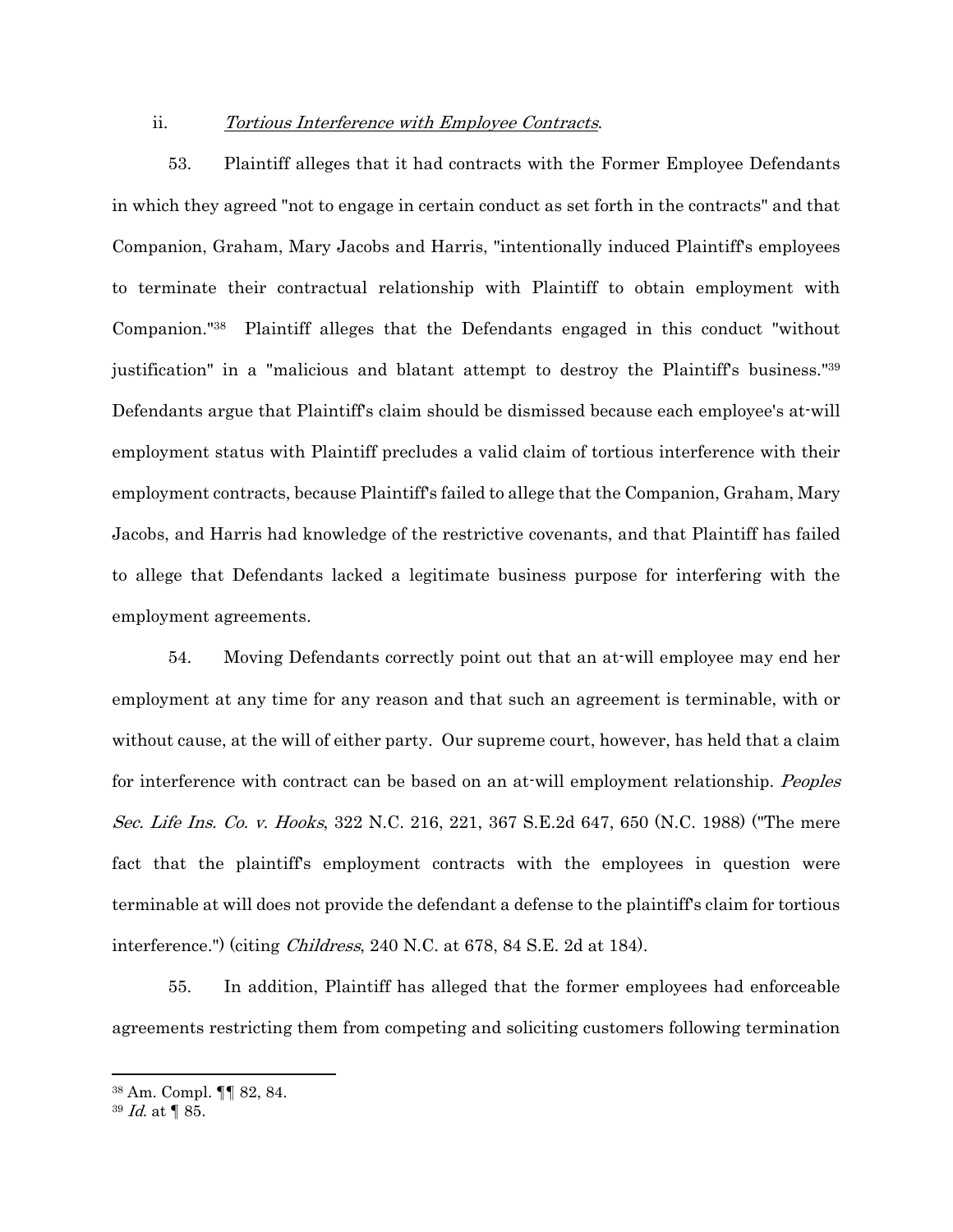#### ii. Tortious Interference with Employee Contracts.

53. Plaintiff alleges that it had contracts with the Former Employee Defendants in which they agreed "not to engage in certain conduct as set forth in the contracts" and that Companion, Graham, Mary Jacobs and Harris, "intentionally induced Plaintiff's employees to terminate their contractual relationship with Plaintiff to obtain employment with Companion."38 Plaintiff alleges that the Defendants engaged in this conduct "without justification" in a "malicious and blatant attempt to destroy the Plaintiff's business."39 Defendants argue that Plaintiff's claim should be dismissed because each employee's at-will employment status with Plaintiff precludes a valid claim of tortious interference with their employment contracts, because Plaintiff's failed to allege that the Companion, Graham, Mary Jacobs, and Harris had knowledge of the restrictive covenants, and that Plaintiff has failed to allege that Defendants lacked a legitimate business purpose for interfering with the employment agreements.

54. Moving Defendants correctly point out that an at-will employee may end her employment at any time for any reason and that such an agreement is terminable, with or without cause, at the will of either party. Our supreme court, however, has held that a claim for interference with contract can be based on an at-will employment relationship. Peoples Sec. Life Ins. Co. v. Hooks, 322 N.C. 216, 221, 367 S.E.2d 647, 650 (N.C. 1988) ("The mere fact that the plaintiff's employment contracts with the employees in question were terminable at will does not provide the defendant a defense to the plaintiff's claim for tortious interference.") (citing Childress, 240 N.C. at 678, 84 S.E. 2d at 184).

55. In addition, Plaintiff has alleged that the former employees had enforceable agreements restricting them from competing and soliciting customers following termination

<sup>38</sup> Am. Compl. ¶¶ 82, 84.

<sup>39</sup> Id. at ¶ 85.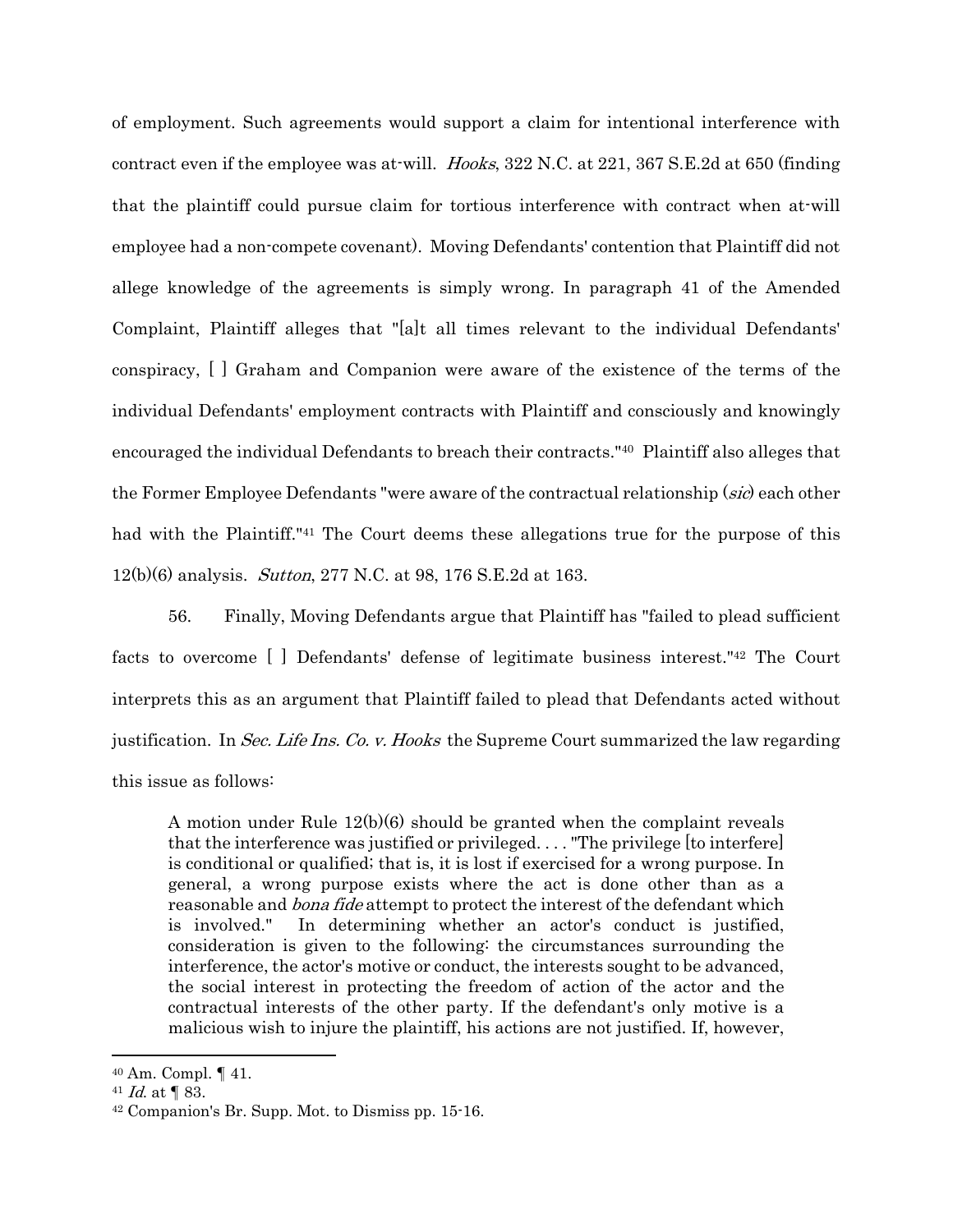of employment. Such agreements would support a claim for intentional interference with contract even if the employee was at-will. Hooks, 322 N.C. at 221, 367 S.E.2d at 650 (finding that the plaintiff could pursue claim for tortious interference with contract when at-will employee had a non-compete covenant). Moving Defendants' contention that Plaintiff did not allege knowledge of the agreements is simply wrong. In paragraph 41 of the Amended Complaint, Plaintiff alleges that "[a]t all times relevant to the individual Defendants' conspiracy, [ ] Graham and Companion were aware of the existence of the terms of the individual Defendants' employment contracts with Plaintiff and consciously and knowingly encouraged the individual Defendants to breach their contracts."40 Plaintiff also alleges that the Former Employee Defendants "were aware of the contractual relationship (sic) each other had with the Plaintiff.<sup>"41</sup> The Court deems these allegations true for the purpose of this 12(b)(6) analysis. Sutton, 277 N.C. at 98, 176 S.E.2d at 163.

56. Finally, Moving Defendants argue that Plaintiff has "failed to plead sufficient facts to overcome [ ] Defendants' defense of legitimate business interest."42 The Court interprets this as an argument that Plaintiff failed to plead that Defendants acted without justification. In Sec. Life Ins. Co. v. Hooks the Supreme Court summarized the law regarding this issue as follows:

A motion under Rule 12(b)(6) should be granted when the complaint reveals that the interference was justified or privileged. . . . "The privilege [to interfere] is conditional or qualified; that is, it is lost if exercised for a wrong purpose. In general, a wrong purpose exists where the act is done other than as a reasonable and *bona fide* attempt to protect the interest of the defendant which is involved." In determining whether an actor's conduct is justified, consideration is given to the following: the circumstances surrounding the interference, the actor's motive or conduct, the interests sought to be advanced, the social interest in protecting the freedom of action of the actor and the contractual interests of the other party. If the defendant's only motive is a malicious wish to injure the plaintiff, his actions are not justified. If, however,

<sup>40</sup> Am. Compl. ¶ 41.

<sup>&</sup>lt;sup>41</sup> *Id.* at  $\P$  83.  $\mu$ <sup>2</sup> Companion's Br. Supp. Mot. to Dismiss pp. 15-16.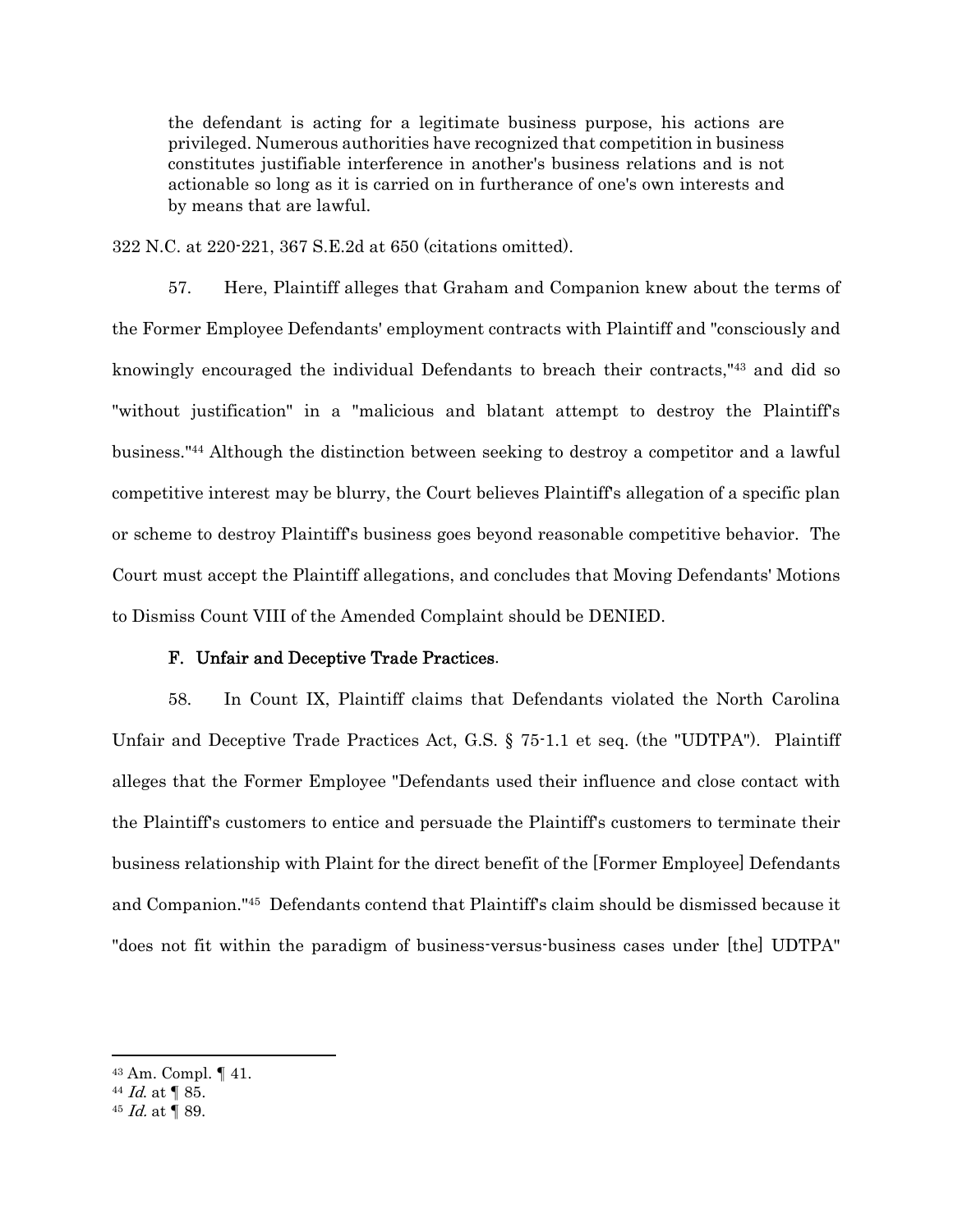the defendant is acting for a legitimate business purpose, his actions are privileged. Numerous authorities have recognized that competition in business constitutes justifiable interference in another's business relations and is not actionable so long as it is carried on in furtherance of one's own interests and by means that are lawful.

322 N.C. at 220-221, 367 S.E.2d at 650 (citations omitted).

57. Here, Plaintiff alleges that Graham and Companion knew about the terms of the Former Employee Defendants' employment contracts with Plaintiff and "consciously and knowingly encouraged the individual Defendants to breach their contracts,"43 and did so "without justification" in a "malicious and blatant attempt to destroy the Plaintiff's business."44 Although the distinction between seeking to destroy a competitor and a lawful competitive interest may be blurry, the Court believes Plaintiff's allegation of a specific plan or scheme to destroy Plaintiff's business goes beyond reasonable competitive behavior. The Court must accept the Plaintiff allegations, and concludes that Moving Defendants' Motions to Dismiss Count VIII of the Amended Complaint should be DENIED.

#### F. Unfair and Deceptive Trade Practices.

58. In Count IX, Plaintiff claims that Defendants violated the North Carolina Unfair and Deceptive Trade Practices Act, G.S. § 75-1.1 et seq. (the "UDTPA"). Plaintiff alleges that the Former Employee "Defendants used their influence and close contact with the Plaintiff's customers to entice and persuade the Plaintiff's customers to terminate their business relationship with Plaint for the direct benefit of the [Former Employee] Defendants and Companion."45 Defendants contend that Plaintiff's claim should be dismissed because it "does not fit within the paradigm of business-versus-business cases under [the] UDTPA"

<sup>43</sup> Am. Compl. ¶ 41.

 $44$  *Id.* at  $\sqrt{85}$ .

 $45$  *Id.* at  $\sqrt{\ }$  89.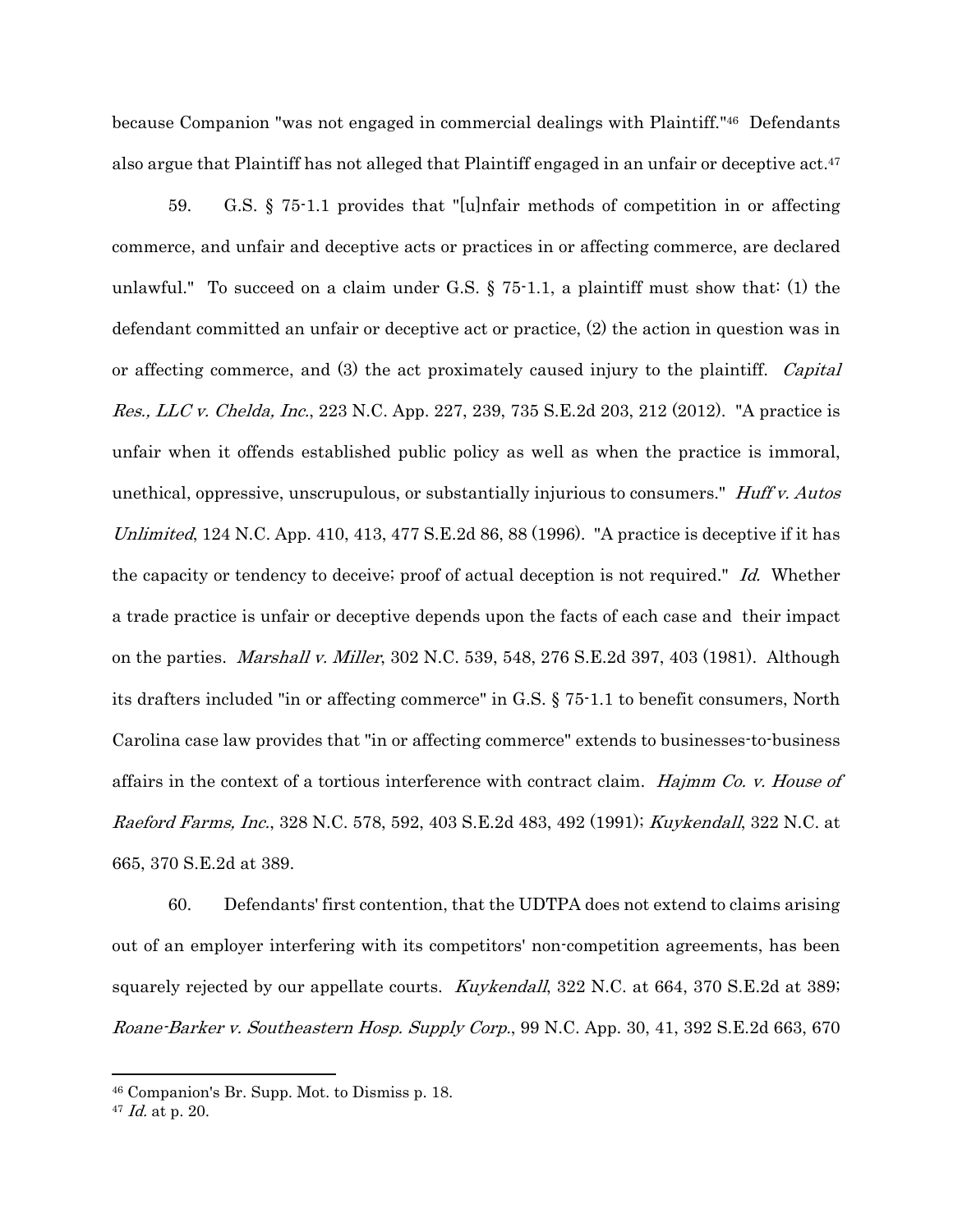because Companion "was not engaged in commercial dealings with Plaintiff."46 Defendants also argue that Plaintiff has not alleged that Plaintiff engaged in an unfair or deceptive act.47

59. G.S. § 75-1.1 provides that "[u]nfair methods of competition in or affecting commerce, and unfair and deceptive acts or practices in or affecting commerce, are declared unlawful." To succeed on a claim under G.S.  $\S$  75-1.1, a plaintiff must show that  $(1)$  the defendant committed an unfair or deceptive act or practice, (2) the action in question was in or affecting commerce, and (3) the act proximately caused injury to the plaintiff. Capital Res., LLC v. Chelda, Inc., 223 N.C. App. 227, 239, 735 S.E.2d 203, 212 (2012). "A practice is unfair when it offends established public policy as well as when the practice is immoral, unethical, oppressive, unscrupulous, or substantially injurious to consumers." *Huff v. Autos* Unlimited,  $124$  N.C. App.  $410$ ,  $413$ ,  $477$  S.E. 2d  $86$ ,  $88$  (1996). "A practice is deceptive if it has the capacity or tendency to deceive; proof of actual deception is not required." Id. Whether a trade practice is unfair or deceptive depends upon the facts of each case and their impact on the parties. Marshall v. Miller, 302 N.C. 539, 548, 276 S.E.2d 397, 403 (1981). Although its drafters included "in or affecting commerce" in G.S. § 75-1.1 to benefit consumers, North Carolina case law provides that "in or affecting commerce" extends to businesses-to-business affairs in the context of a tortious interference with contract claim. Hajmm Co. v. House of Raeford Farms, Inc., 328 N.C. 578, 592, 403 S.E.2d 483, 492 (1991); Kuykendall, 322 N.C. at 665, 370 S.E.2d at 389.

60. Defendants' first contention, that the UDTPA does not extend to claims arising out of an employer interfering with its competitors' non-competition agreements, has been squarely rejected by our appellate courts. *Kuykendall*, 322 N.C. at 664, 370 S.E.2d at 389; Roane-Barker v. Southeastern Hosp. Supply Corp., 99 N.C. App. 30, 41, 392 S.E.2d 663, 670

<sup>46</sup> Companion's Br. Supp. Mot. to Dismiss p. 18.

<sup>47</sup> Id. at p. 20.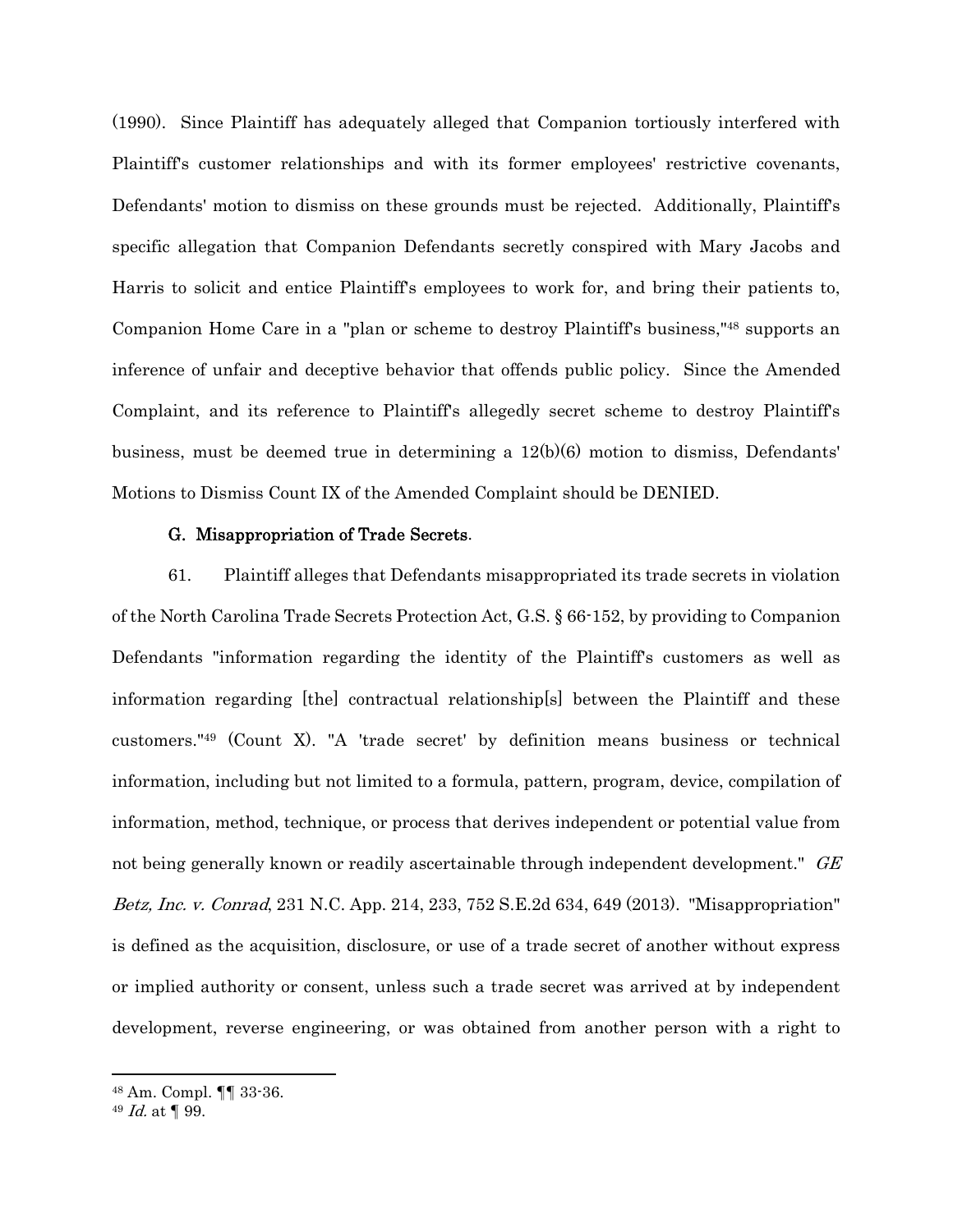(1990). Since Plaintiff has adequately alleged that Companion tortiously interfered with Plaintiff's customer relationships and with its former employees' restrictive covenants, Defendants' motion to dismiss on these grounds must be rejected. Additionally, Plaintiff's specific allegation that Companion Defendants secretly conspired with Mary Jacobs and Harris to solicit and entice Plaintiff's employees to work for, and bring their patients to, Companion Home Care in a "plan or scheme to destroy Plaintiff's business,"48 supports an inference of unfair and deceptive behavior that offends public policy. Since the Amended Complaint, and its reference to Plaintiff's allegedly secret scheme to destroy Plaintiff's business, must be deemed true in determining a  $12(b)(6)$  motion to dismiss, Defendants' Motions to Dismiss Count IX of the Amended Complaint should be DENIED.

### G. Misappropriation of Trade Secrets.

61. Plaintiff alleges that Defendants misappropriated its trade secrets in violation of the North Carolina Trade Secrets Protection Act, G.S. § 66-152, by providing to Companion Defendants "information regarding the identity of the Plaintiff's customers as well as information regarding [the] contractual relationship[s] between the Plaintiff and these customers."49 (Count X). "A 'trade secret' by definition means business or technical information, including but not limited to a formula, pattern, program, device, compilation of information, method, technique, or process that derives independent or potential value from not being generally known or readily ascertainable through independent development." GE Betz, Inc. v. Conrad, 231 N.C. App. 214, 233, 752 S.E.2d 634, 649 (2013). "Misappropriation" is defined as the acquisition, disclosure, or use of a trade secret of another without express or implied authority or consent, unless such a trade secret was arrived at by independent development, reverse engineering, or was obtained from another person with a right to

<sup>48</sup> Am. Compl. ¶¶ 33-36.

 $49$  *Id.* at  $\P$  99.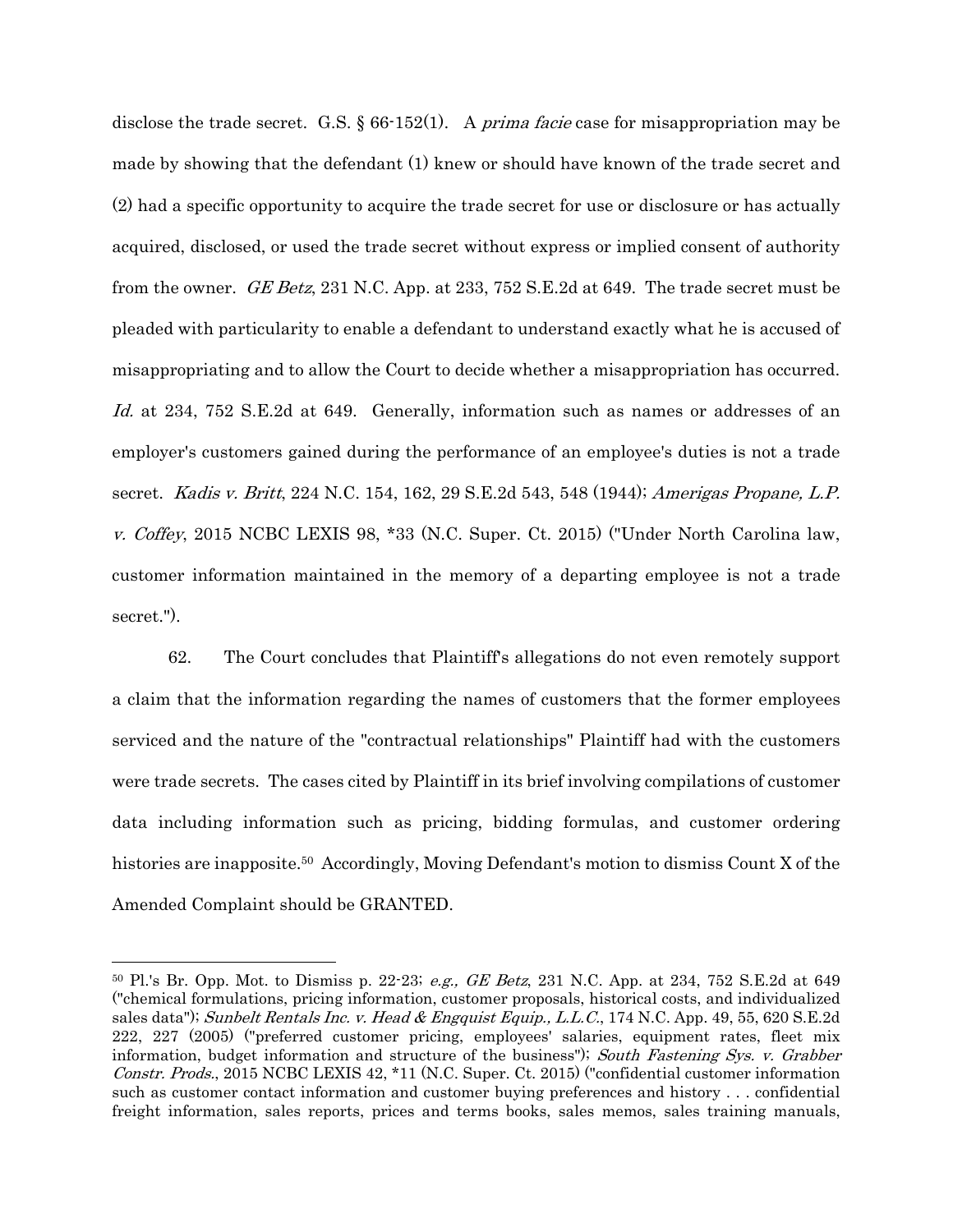disclose the trade secret. G.S.  $\S 66-152(1)$ . A *prima facie* case for misappropriation may be made by showing that the defendant (1) knew or should have known of the trade secret and (2) had a specific opportunity to acquire the trade secret for use or disclosure or has actually acquired, disclosed, or used the trade secret without express or implied consent of authority from the owner. GE Betz, 231 N.C. App. at 233, 752 S.E.2d at 649. The trade secret must be pleaded with particularity to enable a defendant to understand exactly what he is accused of misappropriating and to allow the Court to decide whether a misappropriation has occurred. Id. at 234, 752 S.E.2d at 649. Generally, information such as names or addresses of an employer's customers gained during the performance of an employee's duties is not a trade secret. Kadis v. Britt, 224 N.C. 154, 162, 29 S.E.2d 543, 548 (1944); Amerigas Propane, L.P. v. Coffey, 2015 NCBC LEXIS 98, \*33 (N.C. Super. Ct. 2015) ("Under North Carolina law, customer information maintained in the memory of a departing employee is not a trade secret.").

62. The Court concludes that Plaintiff's allegations do not even remotely support a claim that the information regarding the names of customers that the former employees serviced and the nature of the "contractual relationships" Plaintiff had with the customers were trade secrets. The cases cited by Plaintiff in its brief involving compilations of customer data including information such as pricing, bidding formulas, and customer ordering histories are inapposite.<sup>50</sup> Accordingly, Moving Defendant's motion to dismiss Count X of the Amended Complaint should be GRANTED.

 $50$  Pl.'s Br. Opp. Mot. to Dismiss p. 22-23; *e.g.*, *GE Betz*, 231 N.C. App. at 234, 752 S.E.2d at 649 ("chemical formulations, pricing information, customer proposals, historical costs, and individualized sales data"); Sunbelt Rentals Inc. v. Head & Engquist Equip., L.L.C., 174 N.C. App. 49, 55, 620 S.E.2d 222, 227 (2005) ("preferred customer pricing, employees' salaries, equipment rates, fleet mix information, budget information and structure of the business"); South Fastening Sys. v. Grabber Constr. Prods., 2015 NCBC LEXIS 42, \*11 (N.C. Super. Ct. 2015) ("confidential customer information such as customer contact information and customer buying preferences and history . . . confidential freight information, sales reports, prices and terms books, sales memos, sales training manuals,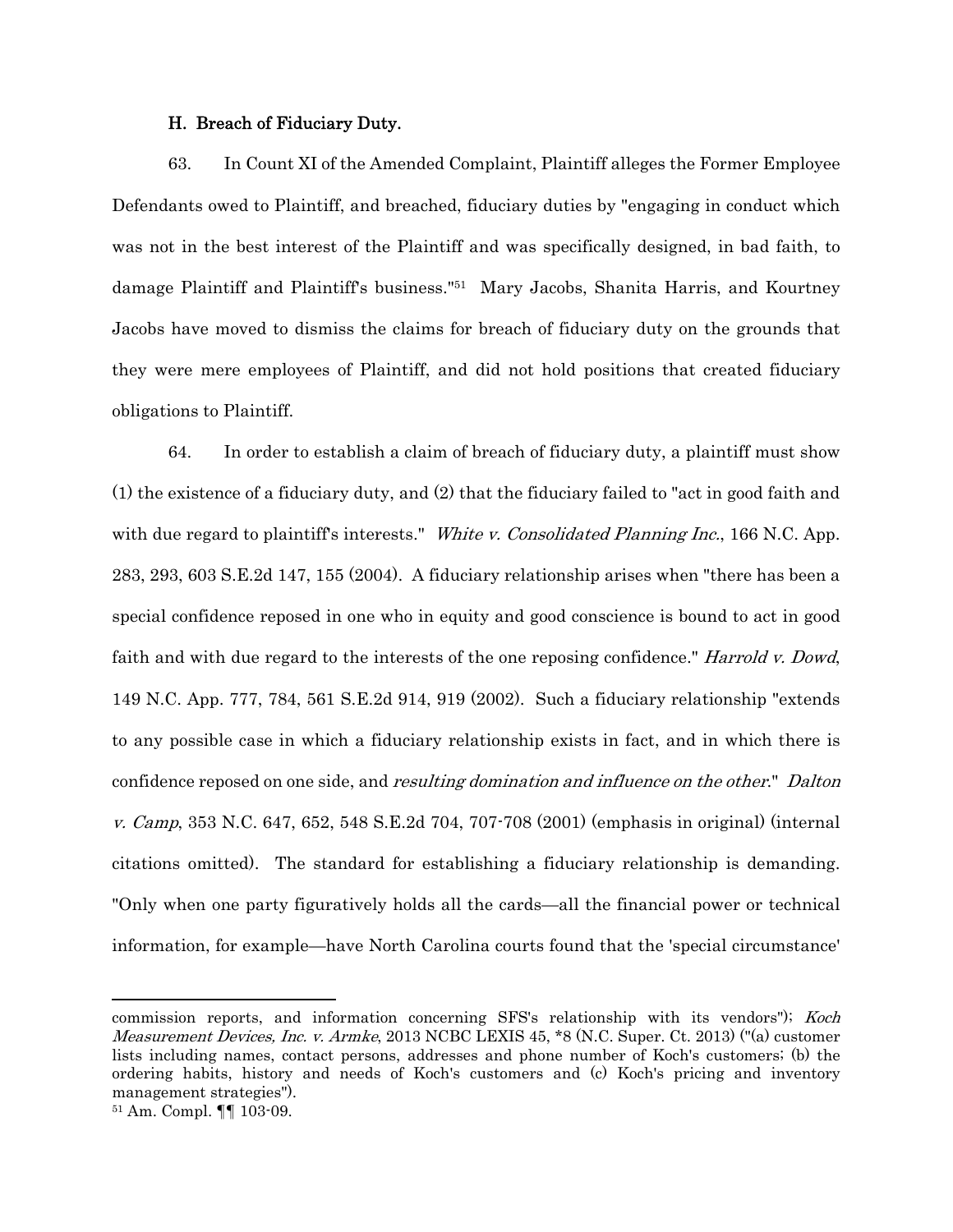### H. Breach of Fiduciary Duty.

63. In Count XI of the Amended Complaint, Plaintiff alleges the Former Employee Defendants owed to Plaintiff, and breached, fiduciary duties by "engaging in conduct which was not in the best interest of the Plaintiff and was specifically designed, in bad faith, to damage Plaintiff and Plaintiff's business."51 Mary Jacobs, Shanita Harris, and Kourtney Jacobs have moved to dismiss the claims for breach of fiduciary duty on the grounds that they were mere employees of Plaintiff, and did not hold positions that created fiduciary obligations to Plaintiff.

64. In order to establish a claim of breach of fiduciary duty, a plaintiff must show (1) the existence of a fiduciary duty, and (2) that the fiduciary failed to "act in good faith and with due regard to plaintiff's interests." White v. Consolidated Planning Inc., 166 N.C. App. 283, 293, 603 S.E.2d 147, 155 (2004). A fiduciary relationship arises when "there has been a special confidence reposed in one who in equity and good conscience is bound to act in good faith and with due regard to the interests of the one reposing confidence." Harrold v. Dowd, 149 N.C. App. 777, 784, 561 S.E.2d 914, 919 (2002). Such a fiduciary relationship "extends to any possible case in which a fiduciary relationship exists in fact, and in which there is confidence reposed on one side, and *resulting domination and influence on the other.*" Dalton v. Camp, 353 N.C. 647, 652, 548 S.E.2d 704, 707-708 (2001) (emphasis in original) (internal citations omitted). The standard for establishing a fiduciary relationship is demanding. "Only when one party figuratively holds all the cards—all the financial power or technical information, for example—have North Carolina courts found that the 'special circumstance'

commission reports, and information concerning SFS's relationship with its vendors"); Koch Measurement Devices, Inc. v. Armke, 2013 NCBC LEXIS 45, \*8 (N.C. Super. Ct. 2013) ("(a) customer lists including names, contact persons, addresses and phone number of Koch's customers; (b) the ordering habits, history and needs of Koch's customers and (c) Koch's pricing and inventory management strategies").

<sup>51</sup> Am. Compl. ¶¶ 103-09.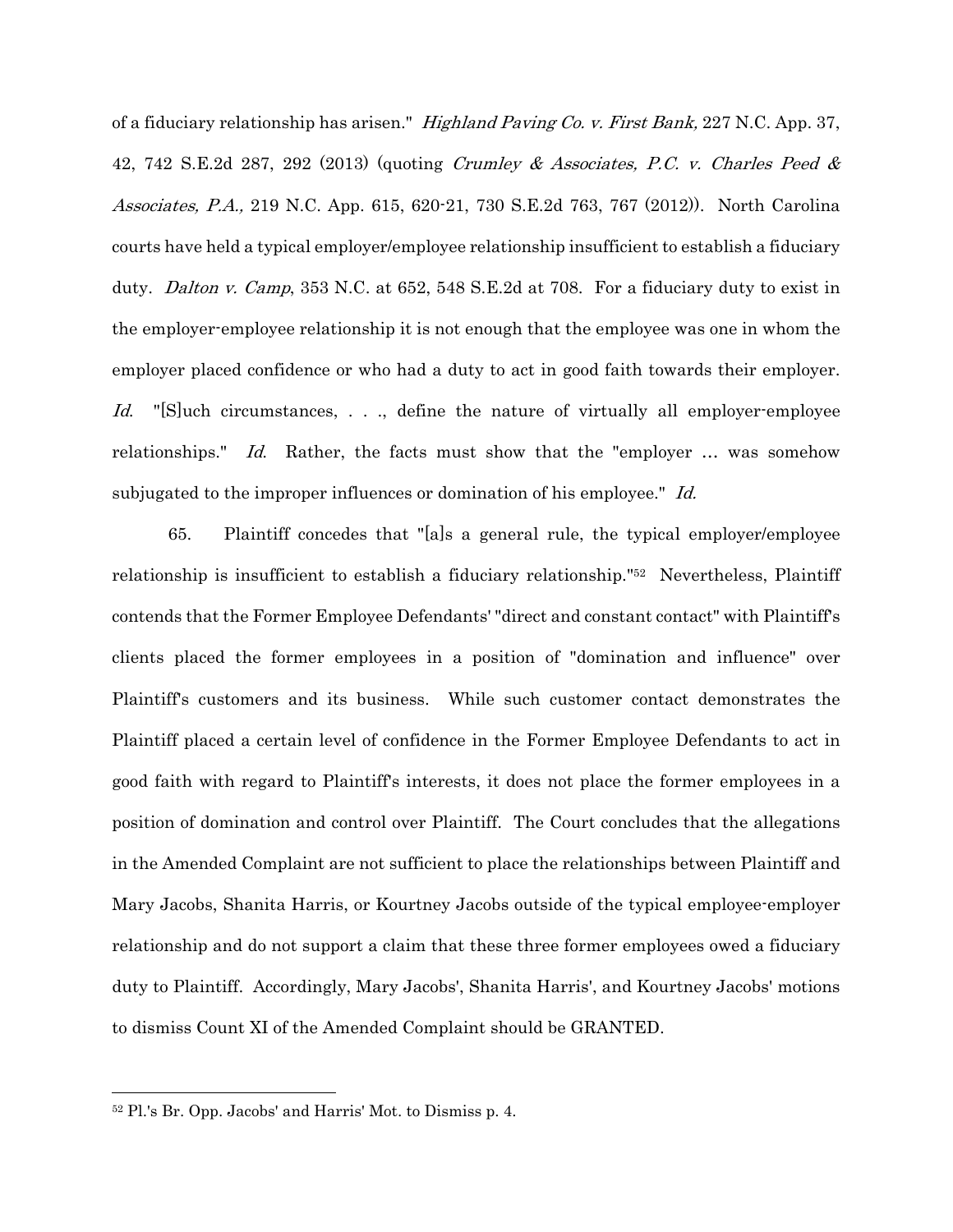of a fiduciary relationship has arisen." Highland Paving Co. v. First Bank, 227 N.C. App. 37, 42, 742 S.E.2d 287, 292 (2013) (quoting *Crumley & Associates, P.C. v. Charles Peed &* Associates, P.A., 219 N.C. App. 615, 620-21, 730 S.E.2d 763, 767 (2012)). North Carolina courts have held a typical employer/employee relationship insufficient to establish a fiduciary duty. Dalton v. Camp, 353 N.C. at 652, 548 S.E.2d at 708. For a fiduciary duty to exist in the employer-employee relationship it is not enough that the employee was one in whom the employer placed confidence or who had a duty to act in good faith towards their employer. Id. "[S]uch circumstances, . . ., define the nature of virtually all employer-employee relationships." Id. Rather, the facts must show that the "employer ... was somehow subjugated to the improper influences or domination of his employee." Id.

65. Plaintiff concedes that "[a]s a general rule, the typical employer/employee relationship is insufficient to establish a fiduciary relationship."52 Nevertheless, Plaintiff contends that the Former Employee Defendants' "direct and constant contact" with Plaintiff's clients placed the former employees in a position of "domination and influence" over Plaintiff's customers and its business. While such customer contact demonstrates the Plaintiff placed a certain level of confidence in the Former Employee Defendants to act in good faith with regard to Plaintiff's interests, it does not place the former employees in a position of domination and control over Plaintiff. The Court concludes that the allegations in the Amended Complaint are not sufficient to place the relationships between Plaintiff and Mary Jacobs, Shanita Harris, or Kourtney Jacobs outside of the typical employee-employer relationship and do not support a claim that these three former employees owed a fiduciary duty to Plaintiff. Accordingly, Mary Jacobs', Shanita Harris', and Kourtney Jacobs' motions to dismiss Count XI of the Amended Complaint should be GRANTED.

<sup>52</sup> Pl.'s Br. Opp. Jacobs' and Harris' Mot. to Dismiss p. 4.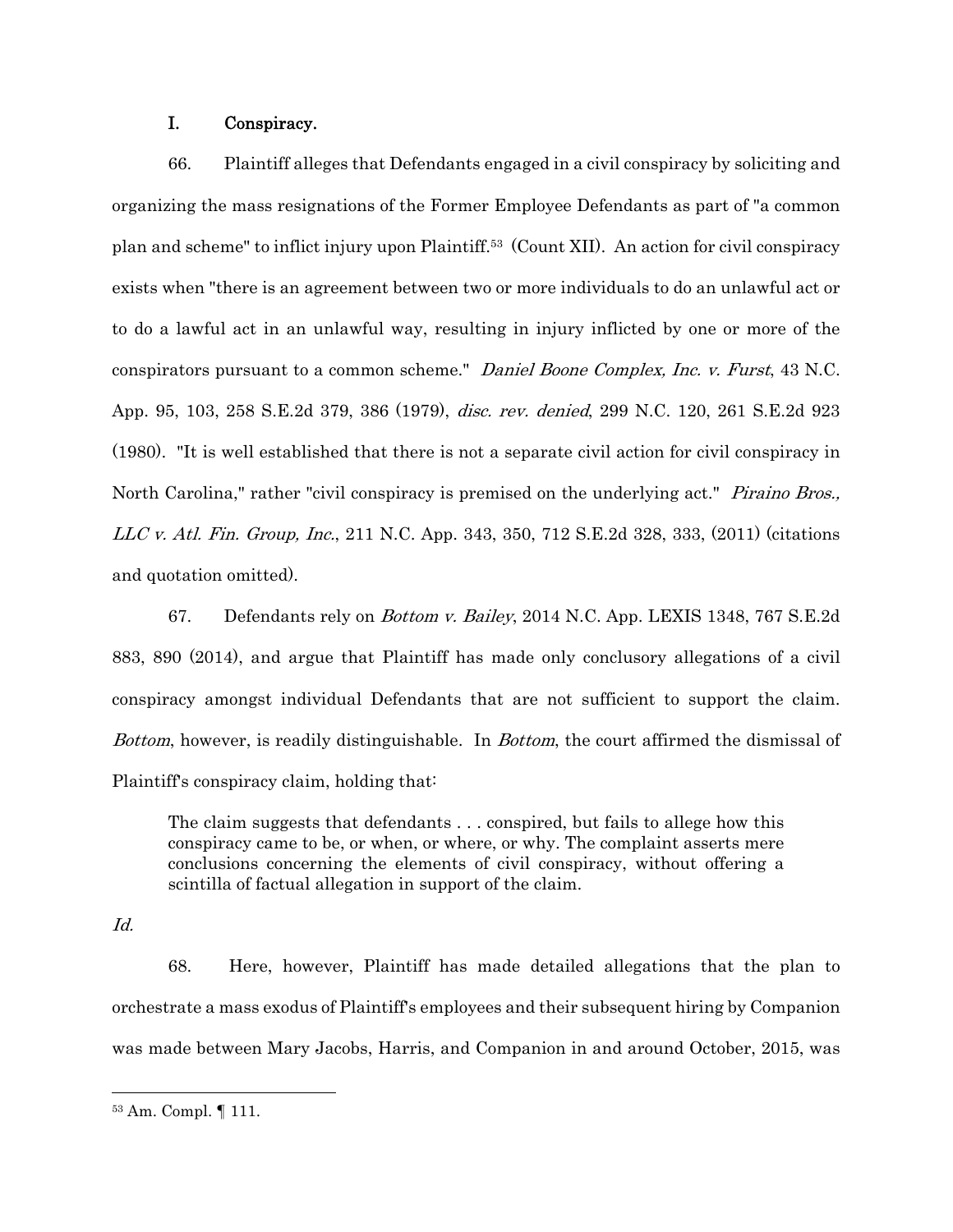## I. Conspiracy.

66. Plaintiff alleges that Defendants engaged in a civil conspiracy by soliciting and organizing the mass resignations of the Former Employee Defendants as part of "a common plan and scheme" to inflict injury upon Plaintiff.53 (Count XII). An action for civil conspiracy exists when "there is an agreement between two or more individuals to do an unlawful act or to do a lawful act in an unlawful way, resulting in injury inflicted by one or more of the conspirators pursuant to a common scheme." Daniel Boone Complex, Inc. v. Furst, 43 N.C. App. 95, 103, 258 S.E.2d 379, 386 (1979), disc. rev. denied, 299 N.C. 120, 261 S.E.2d 923 (1980). "It is well established that there is not a separate civil action for civil conspiracy in North Carolina," rather "civil conspiracy is premised on the underlying act." *Piraino Bros.*, LLC v. Atl. Fin. Group, Inc., 211 N.C. App. 343, 350, 712 S.E.2d 328, 333, (2011) (citations and quotation omitted).

67. Defendants rely on Bottom v. Bailey, 2014 N.C. App. LEXIS 1348, 767 S.E.2d 883, 890 (2014), and argue that Plaintiff has made only conclusory allegations of a civil conspiracy amongst individual Defendants that are not sufficient to support the claim. Bottom, however, is readily distinguishable. In Bottom, the court affirmed the dismissal of Plaintiff's conspiracy claim, holding that:

The claim suggests that defendants . . . conspired, but fails to allege how this conspiracy came to be, or when, or where, or why. The complaint asserts mere conclusions concerning the elements of civil conspiracy, without offering a scintilla of factual allegation in support of the claim.

Id.

68. Here, however, Plaintiff has made detailed allegations that the plan to orchestrate a mass exodus of Plaintiff's employees and their subsequent hiring by Companion was made between Mary Jacobs, Harris, and Companion in and around October, 2015, was

<sup>53</sup> Am. Compl. ¶ 111.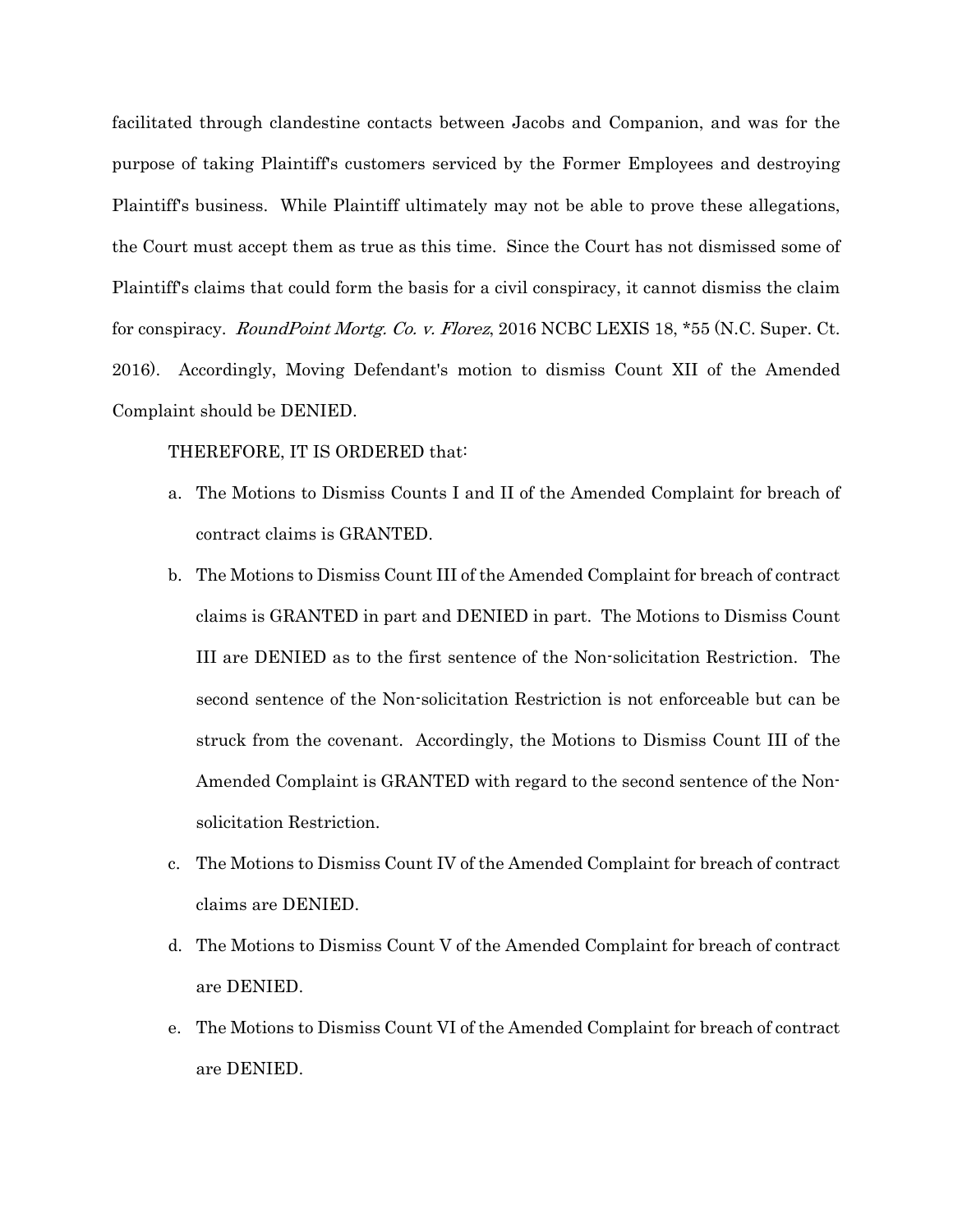facilitated through clandestine contacts between Jacobs and Companion, and was for the purpose of taking Plaintiff's customers serviced by the Former Employees and destroying Plaintiff's business. While Plaintiff ultimately may not be able to prove these allegations, the Court must accept them as true as this time. Since the Court has not dismissed some of Plaintiff's claims that could form the basis for a civil conspiracy, it cannot dismiss the claim for conspiracy. *RoundPoint Mortg. Co. v. Florez*, 2016 NCBC LEXIS 18, \*55 (N.C. Super. Ct. 2016). Accordingly, Moving Defendant's motion to dismiss Count XII of the Amended Complaint should be DENIED.

### THEREFORE, IT IS ORDERED that:

- a. The Motions to Dismiss Counts I and II of the Amended Complaint for breach of contract claims is GRANTED.
- b. The Motions to Dismiss Count III of the Amended Complaint for breach of contract claims is GRANTED in part and DENIED in part. The Motions to Dismiss Count III are DENIED as to the first sentence of the Non-solicitation Restriction. The second sentence of the Non-solicitation Restriction is not enforceable but can be struck from the covenant. Accordingly, the Motions to Dismiss Count III of the Amended Complaint is GRANTED with regard to the second sentence of the Nonsolicitation Restriction.
- c. The Motions to Dismiss Count IV of the Amended Complaint for breach of contract claims are DENIED.
- d. The Motions to Dismiss Count V of the Amended Complaint for breach of contract are DENIED.
- e. The Motions to Dismiss Count VI of the Amended Complaint for breach of contract are DENIED.